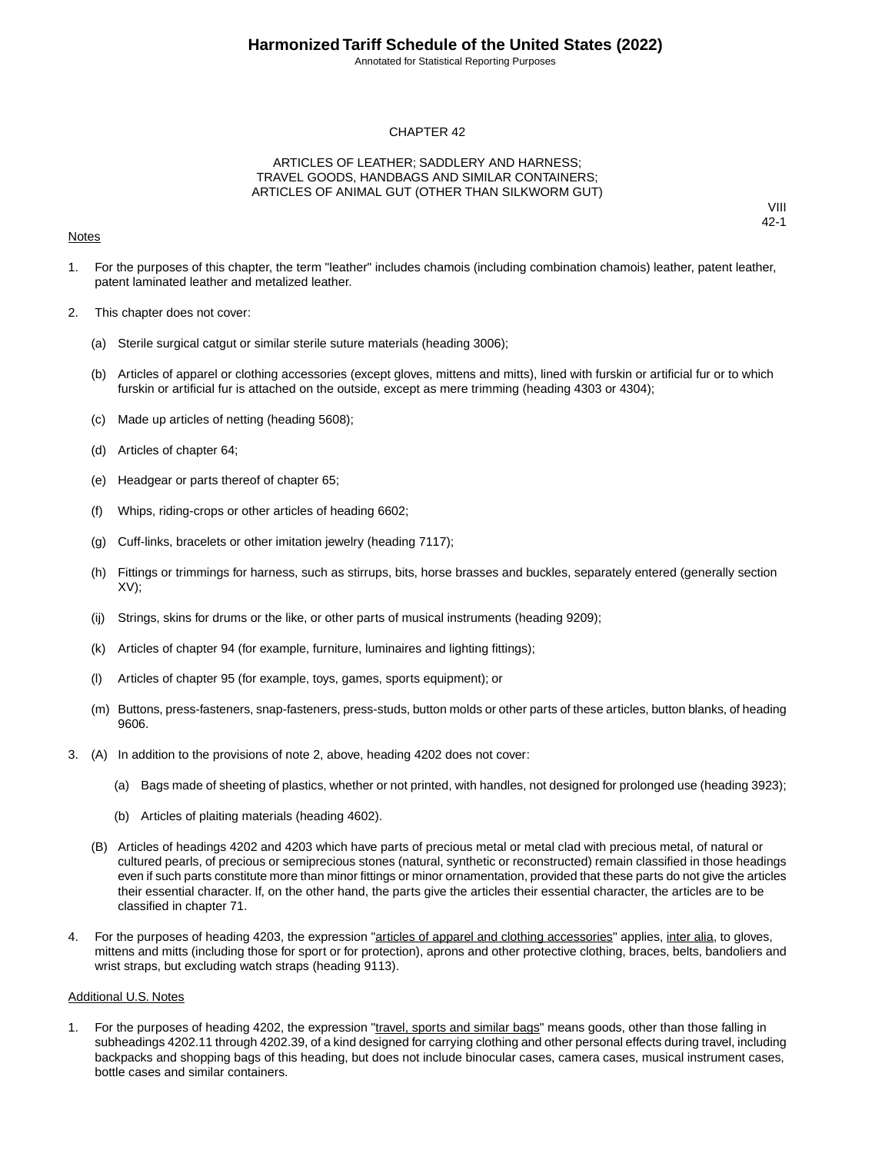Annotated for Statistical Reporting Purposes

#### CHAPTER 42

#### ARTICLES OF LEATHER; SADDLERY AND HARNESS; TRAVEL GOODS, HANDBAGS AND SIMILAR CONTAINERS; ARTICLES OF ANIMAL GUT (OTHER THAN SILKWORM GUT)

#### **Notes**

VIII 42-1

- 1. For the purposes of this chapter, the term "leather" includes chamois (including combination chamois) leather, patent leather, patent laminated leather and metalized leather.
- 2. This chapter does not cover:
	- (a) Sterile surgical catgut or similar sterile suture materials (heading 3006);
	- (b) Articles of apparel or clothing accessories (except gloves, mittens and mitts), lined with furskin or artificial fur or to which furskin or artificial fur is attached on the outside, except as mere trimming (heading 4303 or 4304);
	- (c) Made up articles of netting (heading 5608);
	- (d) Articles of chapter 64;
	- (e) Headgear or parts thereof of chapter 65;
	- (f) Whips, riding-crops or other articles of heading 6602;
	- (g) Cuff-links, bracelets or other imitation jewelry (heading 7117);
	- (h) Fittings or trimmings for harness, such as stirrups, bits, horse brasses and buckles, separately entered (generally section XV);
	- (ij) Strings, skins for drums or the like, or other parts of musical instruments (heading 9209);
	- (k) Articles of chapter 94 (for example, furniture, luminaires and lighting fittings);
	- (l) Articles of chapter 95 (for example, toys, games, sports equipment); or
	- (m) Buttons, press-fasteners, snap-fasteners, press-studs, button molds or other parts of these articles, button blanks, of heading 9606.
- 3. (A) In addition to the provisions of note 2, above, heading 4202 does not cover:
	- (a) Bags made of sheeting of plastics, whether or not printed, with handles, not designed for prolonged use (heading 3923);
	- (b) Articles of plaiting materials (heading 4602).
	- (B) Articles of headings 4202 and 4203 which have parts of precious metal or metal clad with precious metal, of natural or cultured pearls, of precious or semiprecious stones (natural, synthetic or reconstructed) remain classified in those headings even if such parts constitute more than minor fittings or minor ornamentation, provided that these parts do not give the articles their essential character. If, on the other hand, the parts give the articles their essential character, the articles are to be classified in chapter 71.
- 4. For the purposes of heading 4203, the expression "articles of apparel and clothing accessories" applies, inter alia, to gloves, mittens and mitts (including those for sport or for protection), aprons and other protective clothing, braces, belts, bandoliers and wrist straps, but excluding watch straps (heading 9113).

#### Additional U.S. Notes

1. For the purposes of heading 4202, the expression "travel, sports and similar bags" means goods, other than those falling in subheadings 4202.11 through 4202.39, of a kind designed for carrying clothing and other personal effects during travel, including backpacks and shopping bags of this heading, but does not include binocular cases, camera cases, musical instrument cases, bottle cases and similar containers.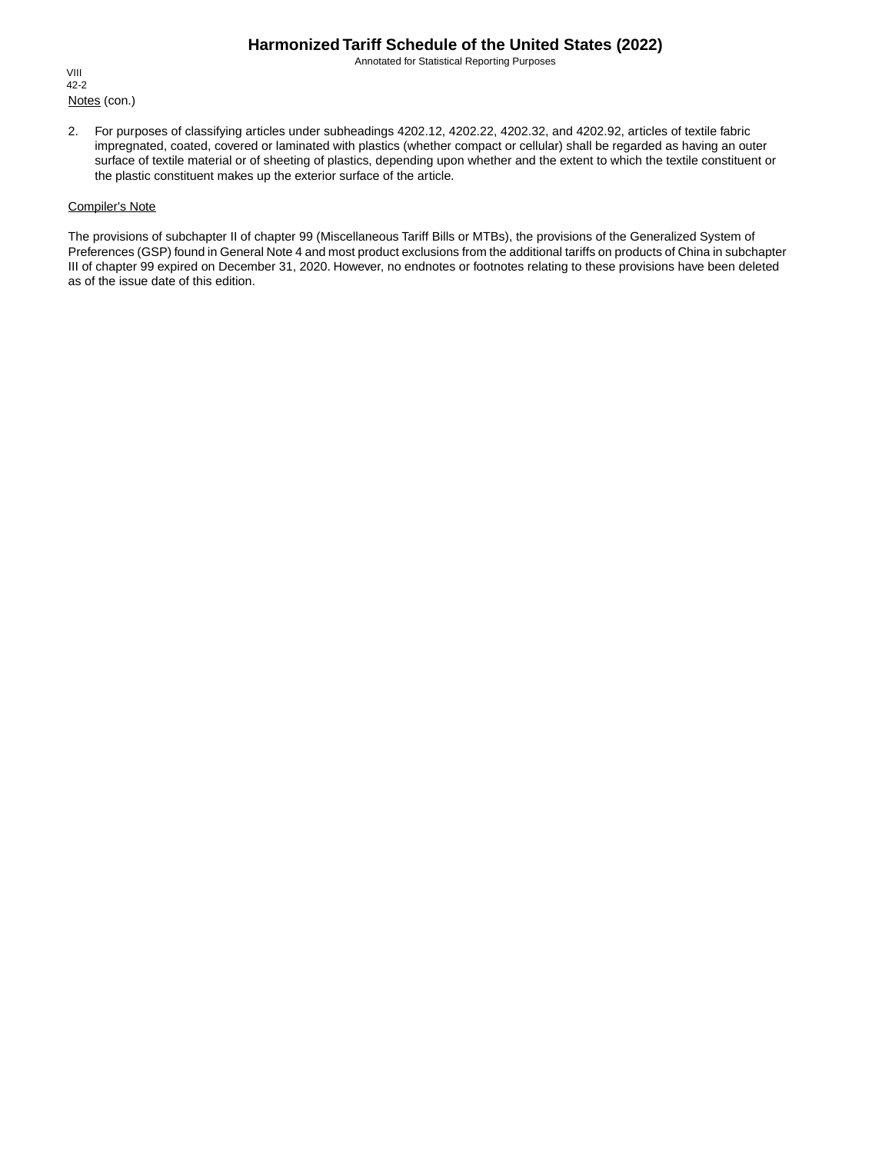Annotated for Statistical Reporting Purposes

Notes (con.) VIII 42-2

2. For purposes of classifying articles under subheadings 4202.12, 4202.22, 4202.32, and 4202.92, articles of textile fabric impregnated, coated, covered or laminated with plastics (whether compact or cellular) shall be regarded as having an outer surface of textile material or of sheeting of plastics, depending upon whether and the extent to which the textile constituent or the plastic constituent makes up the exterior surface of the article.

#### Compiler's Note

The provisions of subchapter II of chapter 99 (Miscellaneous Tariff Bills or MTBs), the provisions of the Generalized System of Preferences (GSP) found in General Note 4 and most product exclusions from the additional tariffs on products of China in subchapter III of chapter 99 expired on December 31, 2020. However, no endnotes or footnotes relating to these provisions have been deleted as of the issue date of this edition.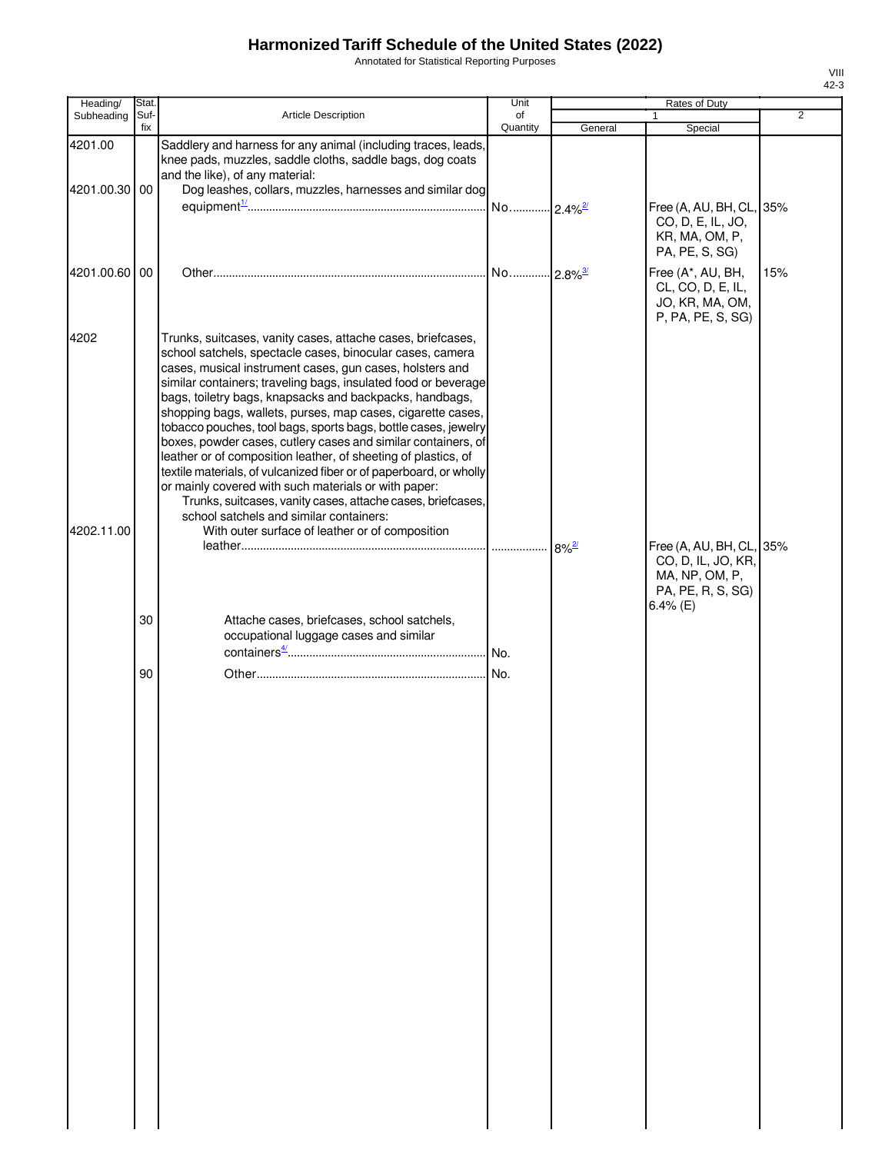Annotated for Statistical Reporting Purposes

| Heading/                 | Stat.       |                                                                                                                                                                                                                                                                                                                                                                                                                                                                                                                                                                                                                                                                                                                                                                                                                                                                                  | Unit                    |         | Rates of Duty                                                                                     |                |
|--------------------------|-------------|----------------------------------------------------------------------------------------------------------------------------------------------------------------------------------------------------------------------------------------------------------------------------------------------------------------------------------------------------------------------------------------------------------------------------------------------------------------------------------------------------------------------------------------------------------------------------------------------------------------------------------------------------------------------------------------------------------------------------------------------------------------------------------------------------------------------------------------------------------------------------------|-------------------------|---------|---------------------------------------------------------------------------------------------------|----------------|
| Subheading               | Suf-<br>fix | Article Description                                                                                                                                                                                                                                                                                                                                                                                                                                                                                                                                                                                                                                                                                                                                                                                                                                                              | of<br>Quantity          | General | $\mathbf{1}$<br>Special                                                                           | $\overline{2}$ |
| 4201.00<br>4201.00.30 00 |             | Saddlery and harness for any animal (including traces, leads,<br>knee pads, muzzles, saddle cloths, saddle bags, dog coats<br>and the like), of any material:<br>Dog leashes, collars, muzzles, harnesses and similar dog                                                                                                                                                                                                                                                                                                                                                                                                                                                                                                                                                                                                                                                        |                         |         |                                                                                                   |                |
|                          |             |                                                                                                                                                                                                                                                                                                                                                                                                                                                                                                                                                                                                                                                                                                                                                                                                                                                                                  | No 2.4% <sup>2/27</sup> |         | Free (A, AU, BH, CL, 35%<br>CO, D, E, IL, JO,<br>KR, MA, OM, P,<br>PA, PE, S, SG)                 |                |
| 4201.00.60 00            |             |                                                                                                                                                                                                                                                                                                                                                                                                                                                                                                                                                                                                                                                                                                                                                                                                                                                                                  |                         |         | Free (A*, AU, BH,<br>CL, CO, D, E, IL,<br>JO, KR, MA, OM,<br>P, PA, PE, S, SG)                    | 15%            |
| 4202<br>4202.11.00       |             | Trunks, suitcases, vanity cases, attache cases, briefcases,<br>school satchels, spectacle cases, binocular cases, camera<br>cases, musical instrument cases, gun cases, holsters and<br>similar containers; traveling bags, insulated food or beverage<br>bags, toiletry bags, knapsacks and backpacks, handbags,<br>shopping bags, wallets, purses, map cases, cigarette cases,<br>tobacco pouches, tool bags, sports bags, bottle cases, jewelry<br>boxes, powder cases, cutlery cases and similar containers, of<br>leather or of composition leather, of sheeting of plastics, of<br>textile materials, of vulcanized fiber or of paperboard, or wholly<br>or mainly covered with such materials or with paper:<br>Trunks, suitcases, vanity cases, attache cases, briefcases,<br>school satchels and similar containers:<br>With outer surface of leather or of composition |                         |         |                                                                                                   |                |
|                          |             |                                                                                                                                                                                                                                                                                                                                                                                                                                                                                                                                                                                                                                                                                                                                                                                                                                                                                  |                         |         | Free (A, AU, BH, CL, 35%<br>CO, D, IL, JO, KR,<br>MA, NP, OM, P,<br>PA, PE, R, S, SG)<br>6.4% (E) |                |
|                          | 30          | Attache cases, briefcases, school satchels,<br>occupational luggage cases and similar                                                                                                                                                                                                                                                                                                                                                                                                                                                                                                                                                                                                                                                                                                                                                                                            |                         |         |                                                                                                   |                |
|                          | 90          |                                                                                                                                                                                                                                                                                                                                                                                                                                                                                                                                                                                                                                                                                                                                                                                                                                                                                  |                         |         |                                                                                                   |                |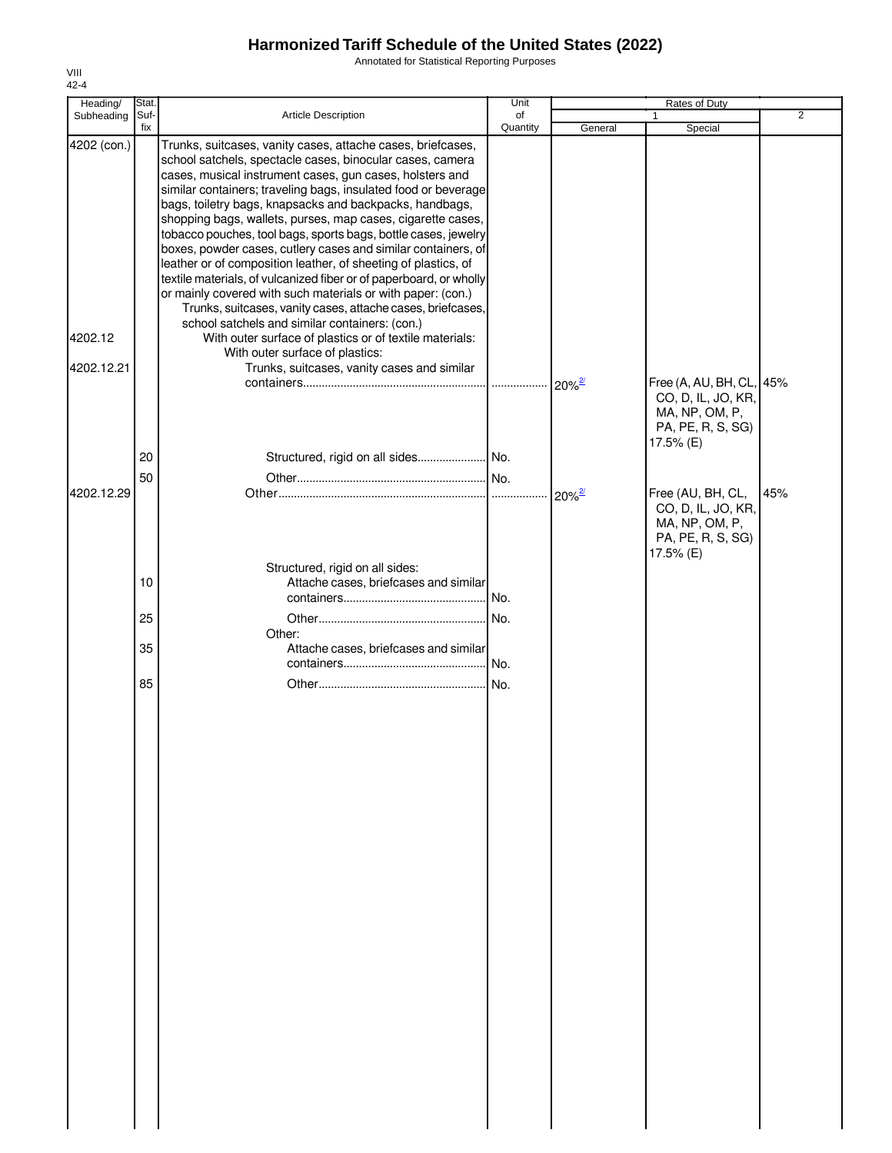Annotated for Statistical Reporting Purposes

| Heading/                             | Stat. |                                                                                                                                                                                                                                                                                                                                                                                                                                                                                                                                                                                                                                                                                                                                                                                                                                                                                                                                                                                          | Unit          |                                 | Rates of Duty                                                                               |                |
|--------------------------------------|-------|------------------------------------------------------------------------------------------------------------------------------------------------------------------------------------------------------------------------------------------------------------------------------------------------------------------------------------------------------------------------------------------------------------------------------------------------------------------------------------------------------------------------------------------------------------------------------------------------------------------------------------------------------------------------------------------------------------------------------------------------------------------------------------------------------------------------------------------------------------------------------------------------------------------------------------------------------------------------------------------|---------------|---------------------------------|---------------------------------------------------------------------------------------------|----------------|
| Subheading                           | Suf-  | <b>Article Description</b>                                                                                                                                                                                                                                                                                                                                                                                                                                                                                                                                                                                                                                                                                                                                                                                                                                                                                                                                                               | of            |                                 | 1                                                                                           | $\overline{2}$ |
| 4202 (con.)<br>4202.12<br>4202.12.21 | fix   | Trunks, suitcases, vanity cases, attache cases, briefcases,<br>school satchels, spectacle cases, binocular cases, camera<br>cases, musical instrument cases, gun cases, holsters and<br>similar containers; traveling bags, insulated food or beverage<br>bags, toiletry bags, knapsacks and backpacks, handbags,<br>shopping bags, wallets, purses, map cases, cigarette cases,<br>tobacco pouches, tool bags, sports bags, bottle cases, jewelry<br>boxes, powder cases, cutlery cases and similar containers, of<br>leather or of composition leather, of sheeting of plastics, of<br>textile materials, of vulcanized fiber or of paperboard, or wholly<br>or mainly covered with such materials or with paper: (con.)<br>Trunks, suitcases, vanity cases, attache cases, briefcases,<br>school satchels and similar containers: (con.)<br>With outer surface of plastics or of textile materials:<br>With outer surface of plastics:<br>Trunks, suitcases, vanity cases and similar | Quantity<br>. | General<br>$20\%$ <sup>2/</sup> | Special<br>Free (A, AU, BH, CL, 45%                                                         |                |
|                                      | 20    | Structured, rigid on all sides No.                                                                                                                                                                                                                                                                                                                                                                                                                                                                                                                                                                                                                                                                                                                                                                                                                                                                                                                                                       |               |                                 | CO, D, IL, JO, KR,<br>MA, NP, OM, P,<br>PA, PE, R, S, SG)<br>17.5% (E)                      |                |
| 4202.12.29                           | 50    |                                                                                                                                                                                                                                                                                                                                                                                                                                                                                                                                                                                                                                                                                                                                                                                                                                                                                                                                                                                          |               |                                 | Free (AU, BH, CL,<br>CO, D, IL, JO, KR,<br>MA, NP, OM, P,<br>PA, PE, R, S, SG)<br>17.5% (E) | 45%            |
|                                      | 10    | Structured, rigid on all sides:<br>Attache cases, briefcases and similar                                                                                                                                                                                                                                                                                                                                                                                                                                                                                                                                                                                                                                                                                                                                                                                                                                                                                                                 |               |                                 |                                                                                             |                |
|                                      | 25    |                                                                                                                                                                                                                                                                                                                                                                                                                                                                                                                                                                                                                                                                                                                                                                                                                                                                                                                                                                                          |               |                                 |                                                                                             |                |
|                                      | 35    | Other:<br>Attache cases, briefcases and similar                                                                                                                                                                                                                                                                                                                                                                                                                                                                                                                                                                                                                                                                                                                                                                                                                                                                                                                                          | No.           |                                 |                                                                                             |                |
|                                      | 85    |                                                                                                                                                                                                                                                                                                                                                                                                                                                                                                                                                                                                                                                                                                                                                                                                                                                                                                                                                                                          |               |                                 |                                                                                             |                |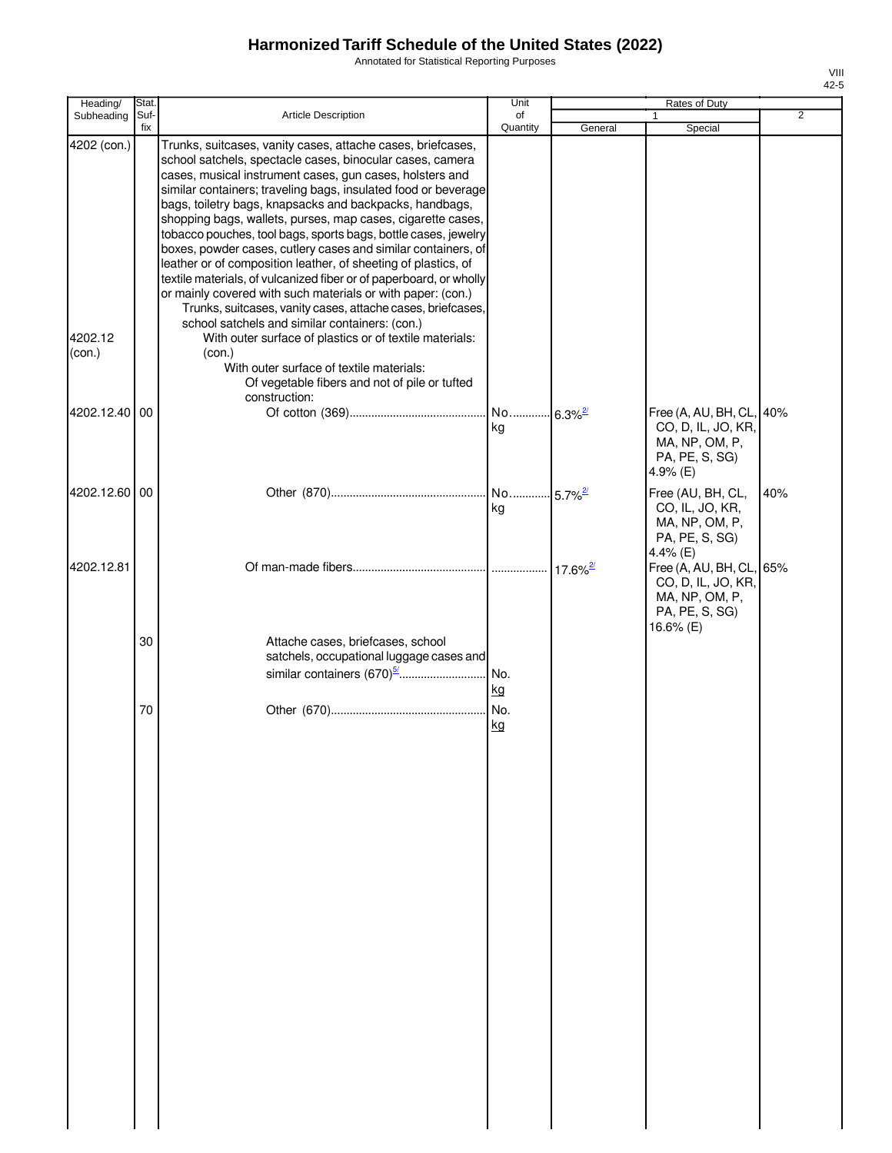Annotated for Statistical Reporting Purposes

| Heading/                         | Stat.<br>Suf- |                                                                                                                                                                                                                                                                                                                                                                                                                                                                                                                                                                                                                                                                                                                                                                                                                                                                                                                                                              | Unit<br>of |         | Rates of Duty                                                                                  | $\overline{2}$ |
|----------------------------------|---------------|--------------------------------------------------------------------------------------------------------------------------------------------------------------------------------------------------------------------------------------------------------------------------------------------------------------------------------------------------------------------------------------------------------------------------------------------------------------------------------------------------------------------------------------------------------------------------------------------------------------------------------------------------------------------------------------------------------------------------------------------------------------------------------------------------------------------------------------------------------------------------------------------------------------------------------------------------------------|------------|---------|------------------------------------------------------------------------------------------------|----------------|
| Subheading                       | fix           | Article Description                                                                                                                                                                                                                                                                                                                                                                                                                                                                                                                                                                                                                                                                                                                                                                                                                                                                                                                                          | Quantity   | General | Special                                                                                        |                |
| 4202 (con.)<br>4202.12<br>(con.) |               | Trunks, suitcases, vanity cases, attache cases, briefcases,<br>school satchels, spectacle cases, binocular cases, camera<br>cases, musical instrument cases, gun cases, holsters and<br>similar containers; traveling bags, insulated food or beverage<br>bags, toiletry bags, knapsacks and backpacks, handbags,<br>shopping bags, wallets, purses, map cases, cigarette cases,<br>tobacco pouches, tool bags, sports bags, bottle cases, jewelry<br>boxes, powder cases, cutlery cases and similar containers, of<br>leather or of composition leather, of sheeting of plastics, of<br>textile materials, of vulcanized fiber or of paperboard, or wholly<br>or mainly covered with such materials or with paper: (con.)<br>Trunks, suitcases, vanity cases, attache cases, briefcases,<br>school satchels and similar containers: (con.)<br>With outer surface of plastics or of textile materials:<br>(con.)<br>With outer surface of textile materials: |            |         |                                                                                                |                |
| 4202.12.40 00                    |               | Of vegetable fibers and not of pile or tufted<br>construction:                                                                                                                                                                                                                                                                                                                                                                                                                                                                                                                                                                                                                                                                                                                                                                                                                                                                                               | ka         |         | Free (A, AU, BH, CL, 40%<br>CO, D, IL, JO, KR,<br>MA, NP, OM, P,<br>PA, PE, S, SG)             |                |
| 4202.12.60 00                    |               |                                                                                                                                                                                                                                                                                                                                                                                                                                                                                                                                                                                                                                                                                                                                                                                                                                                                                                                                                              | kg         |         | 4.9% (E)<br>Free (AU, BH, CL,<br>CO, IL, JO, KR,<br>MA, NP, OM, P,<br>PA, PE, S, SG)           | 40%            |
| 4202.12.81                       |               |                                                                                                                                                                                                                                                                                                                                                                                                                                                                                                                                                                                                                                                                                                                                                                                                                                                                                                                                                              |            |         | 4.4% (E)<br>Free (A, AU, BH, CL, 65%<br>CO, D, IL, JO, KR,<br>MA, NP, OM, P,<br>PA, PE, S, SG) |                |
|                                  | 30            | Attache cases, briefcases, school<br>satchels, occupational luggage cases and                                                                                                                                                                                                                                                                                                                                                                                                                                                                                                                                                                                                                                                                                                                                                                                                                                                                                | kg         |         | 16.6% (E)                                                                                      |                |
|                                  | 70            |                                                                                                                                                                                                                                                                                                                                                                                                                                                                                                                                                                                                                                                                                                                                                                                                                                                                                                                                                              | kg         |         |                                                                                                |                |
|                                  |               |                                                                                                                                                                                                                                                                                                                                                                                                                                                                                                                                                                                                                                                                                                                                                                                                                                                                                                                                                              |            |         |                                                                                                |                |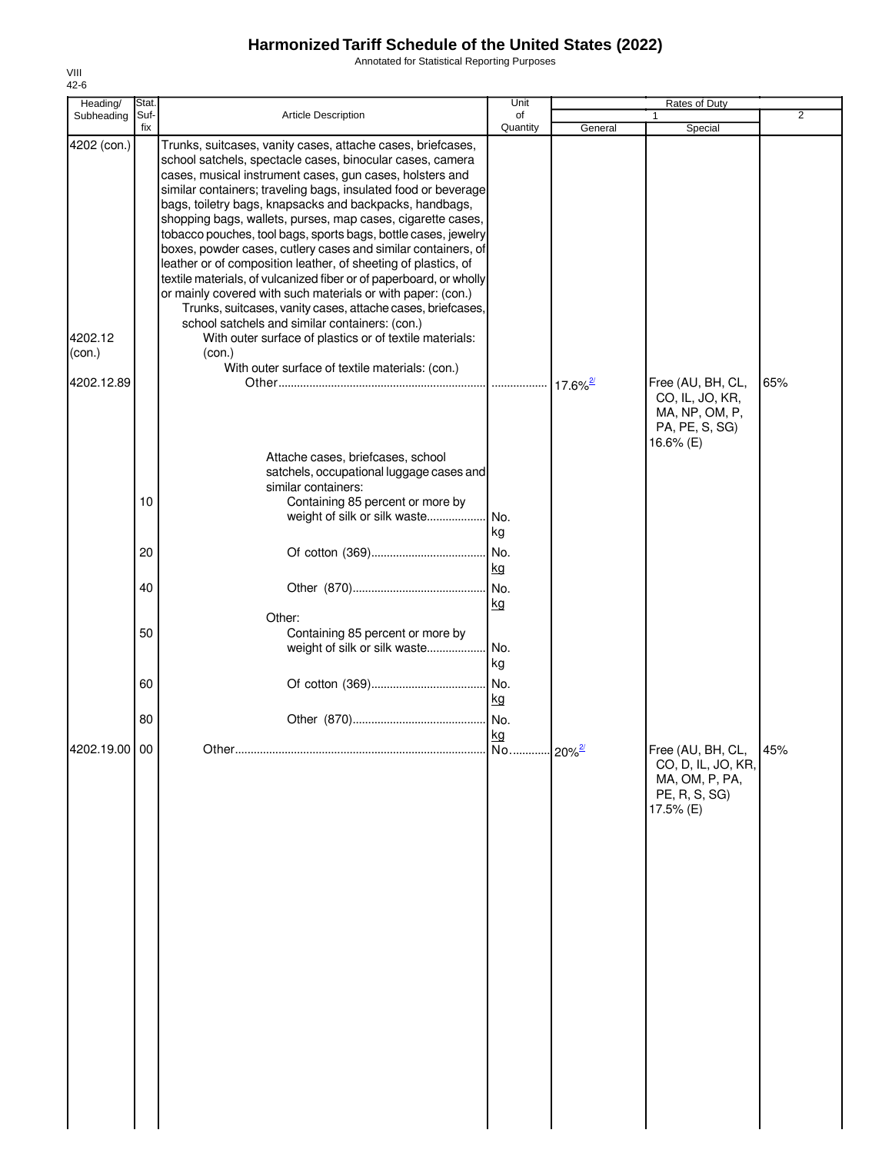Annotated for Statistical Reporting Purposes

| Stat.                     |                                                                                                                                                                                                                                                                                                                                                                                                                                                                                                                                                                                                                                                                                          | Unit      |                                                                                                                                                                                                                                                                                                                                                           | Rates of Duty                                                     |                                                    |
|---------------------------|------------------------------------------------------------------------------------------------------------------------------------------------------------------------------------------------------------------------------------------------------------------------------------------------------------------------------------------------------------------------------------------------------------------------------------------------------------------------------------------------------------------------------------------------------------------------------------------------------------------------------------------------------------------------------------------|-----------|-----------------------------------------------------------------------------------------------------------------------------------------------------------------------------------------------------------------------------------------------------------------------------------------------------------------------------------------------------------|-------------------------------------------------------------------|----------------------------------------------------|
| Suf-                      | <b>Article Description</b>                                                                                                                                                                                                                                                                                                                                                                                                                                                                                                                                                                                                                                                               | of        |                                                                                                                                                                                                                                                                                                                                                           | 1                                                                 | $\overline{2}$                                     |
|                           | Trunks, suitcases, vanity cases, attache cases, briefcases,<br>school satchels, spectacle cases, binocular cases, camera<br>cases, musical instrument cases, gun cases, holsters and<br>bags, toiletry bags, knapsacks and backpacks, handbags,<br>shopping bags, wallets, purses, map cases, cigarette cases,<br>leather or of composition leather, of sheeting of plastics, of<br>or mainly covered with such materials or with paper: (con.)<br>Trunks, suitcases, vanity cases, attache cases, briefcases,<br>school satchels and similar containers: (con.)<br>With outer surface of plastics or of textile materials:<br>(con.)<br>With outer surface of textile materials: (con.) |           |                                                                                                                                                                                                                                                                                                                                                           |                                                                   | 65%                                                |
| 10                        | Attache cases, briefcases, school<br>similar containers:<br>Containing 85 percent or more by<br>weight of silk or silk waste                                                                                                                                                                                                                                                                                                                                                                                                                                                                                                                                                             | No.<br>kg |                                                                                                                                                                                                                                                                                                                                                           | CO, IL, JO, KR,<br>MA, NP, OM, P,<br>PA, PE, S, SG)<br>16.6% (E)  |                                                    |
| 20                        |                                                                                                                                                                                                                                                                                                                                                                                                                                                                                                                                                                                                                                                                                          | No.       |                                                                                                                                                                                                                                                                                                                                                           |                                                                   |                                                    |
| 40                        |                                                                                                                                                                                                                                                                                                                                                                                                                                                                                                                                                                                                                                                                                          | kg<br>No. |                                                                                                                                                                                                                                                                                                                                                           |                                                                   |                                                    |
| 50                        | Other:<br>Containing 85 percent or more by<br>weight of silk or silk waste                                                                                                                                                                                                                                                                                                                                                                                                                                                                                                                                                                                                               | No.       |                                                                                                                                                                                                                                                                                                                                                           |                                                                   |                                                    |
| 60                        |                                                                                                                                                                                                                                                                                                                                                                                                                                                                                                                                                                                                                                                                                          | kg        |                                                                                                                                                                                                                                                                                                                                                           |                                                                   |                                                    |
| 80                        |                                                                                                                                                                                                                                                                                                                                                                                                                                                                                                                                                                                                                                                                                          |           |                                                                                                                                                                                                                                                                                                                                                           |                                                                   |                                                    |
|                           |                                                                                                                                                                                                                                                                                                                                                                                                                                                                                                                                                                                                                                                                                          | kg        |                                                                                                                                                                                                                                                                                                                                                           | Free (AU, BH, CL,<br>MA, OM, P, PA,<br>PE, R, S, SG)<br>17.5% (E) | 45%                                                |
| 4202 (con.)<br>4202.12.89 | fix<br>4202.19.00 00                                                                                                                                                                                                                                                                                                                                                                                                                                                                                                                                                                                                                                                                     |           | Quantity<br>similar containers; traveling bags, insulated food or beverage<br>tobacco pouches, tool bags, sports bags, bottle cases, jewelry<br>boxes, powder cases, cutlery cases and similar containers, of<br>textile materials, of vulcanized fiber or of paperboard, or wholly<br>satchels, occupational luggage cases and<br>kg<br>kg<br>No.<br>No. | General                                                           | Special<br>Free (AU, BH, CL,<br>CO, D, IL, JO, KR, |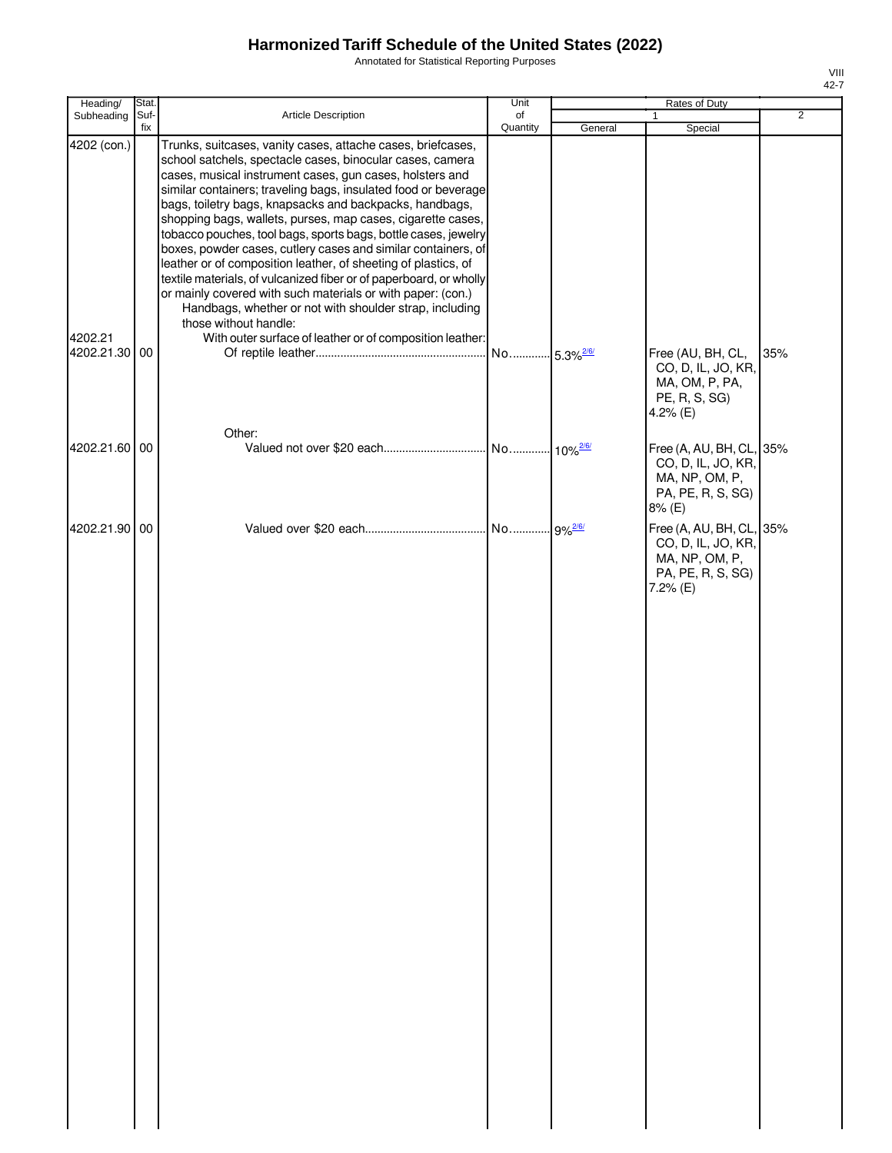Annotated for Statistical Reporting Purposes

| Heading/                                | Stat.       |                                                                                                                                                                                                                                                                                                                                                                                                                                                                                                                                                                                                                                                                                                                                                                                                                                                                            | Unit                    |         | Rates of Duty                                                                                     |                |
|-----------------------------------------|-------------|----------------------------------------------------------------------------------------------------------------------------------------------------------------------------------------------------------------------------------------------------------------------------------------------------------------------------------------------------------------------------------------------------------------------------------------------------------------------------------------------------------------------------------------------------------------------------------------------------------------------------------------------------------------------------------------------------------------------------------------------------------------------------------------------------------------------------------------------------------------------------|-------------------------|---------|---------------------------------------------------------------------------------------------------|----------------|
| Subheading                              | Suf-<br>fix | Article Description                                                                                                                                                                                                                                                                                                                                                                                                                                                                                                                                                                                                                                                                                                                                                                                                                                                        | of<br>Quantity          | General | Special                                                                                           | $\overline{2}$ |
| 4202 (con.)<br>4202.21<br>4202.21.30 00 |             | Trunks, suitcases, vanity cases, attache cases, briefcases,<br>school satchels, spectacle cases, binocular cases, camera<br>cases, musical instrument cases, gun cases, holsters and<br>similar containers; traveling bags, insulated food or beverage<br>bags, toiletry bags, knapsacks and backpacks, handbags,<br>shopping bags, wallets, purses, map cases, cigarette cases,<br>tobacco pouches, tool bags, sports bags, bottle cases, jewelry<br>boxes, powder cases, cutlery cases and similar containers, of<br>leather or of composition leather, of sheeting of plastics, of<br>textile materials, of vulcanized fiber or of paperboard, or wholly<br>or mainly covered with such materials or with paper: (con.)<br>Handbags, whether or not with shoulder strap, including<br>those without handle:<br>With outer surface of leather or of composition leather: | No 5.3% <sup>2/6/</sup> |         | Free (AU, BH, CL,                                                                                 | 35%            |
|                                         |             | Other:                                                                                                                                                                                                                                                                                                                                                                                                                                                                                                                                                                                                                                                                                                                                                                                                                                                                     |                         |         | CO, D, IL, JO, KR,<br>MA, OM, P, PA,<br>PE, R, S, SG)<br>4.2% (E)                                 |                |
| 4202.21.60 00                           |             |                                                                                                                                                                                                                                                                                                                                                                                                                                                                                                                                                                                                                                                                                                                                                                                                                                                                            |                         |         | Free (A, AU, BH, CL, 35%<br>CO, D, IL, JO, KR,<br>MA, NP, OM, P,<br>PA, PE, R, S, SG)<br>8% (E)   |                |
| 4202.21.90 00                           |             |                                                                                                                                                                                                                                                                                                                                                                                                                                                                                                                                                                                                                                                                                                                                                                                                                                                                            |                         |         | Free (A, AU, BH, CL, 35%<br>CO, D, IL, JO, KR,<br>MA, NP, OM, P,<br>PA, PE, R, S, SG)<br>7.2% (E) |                |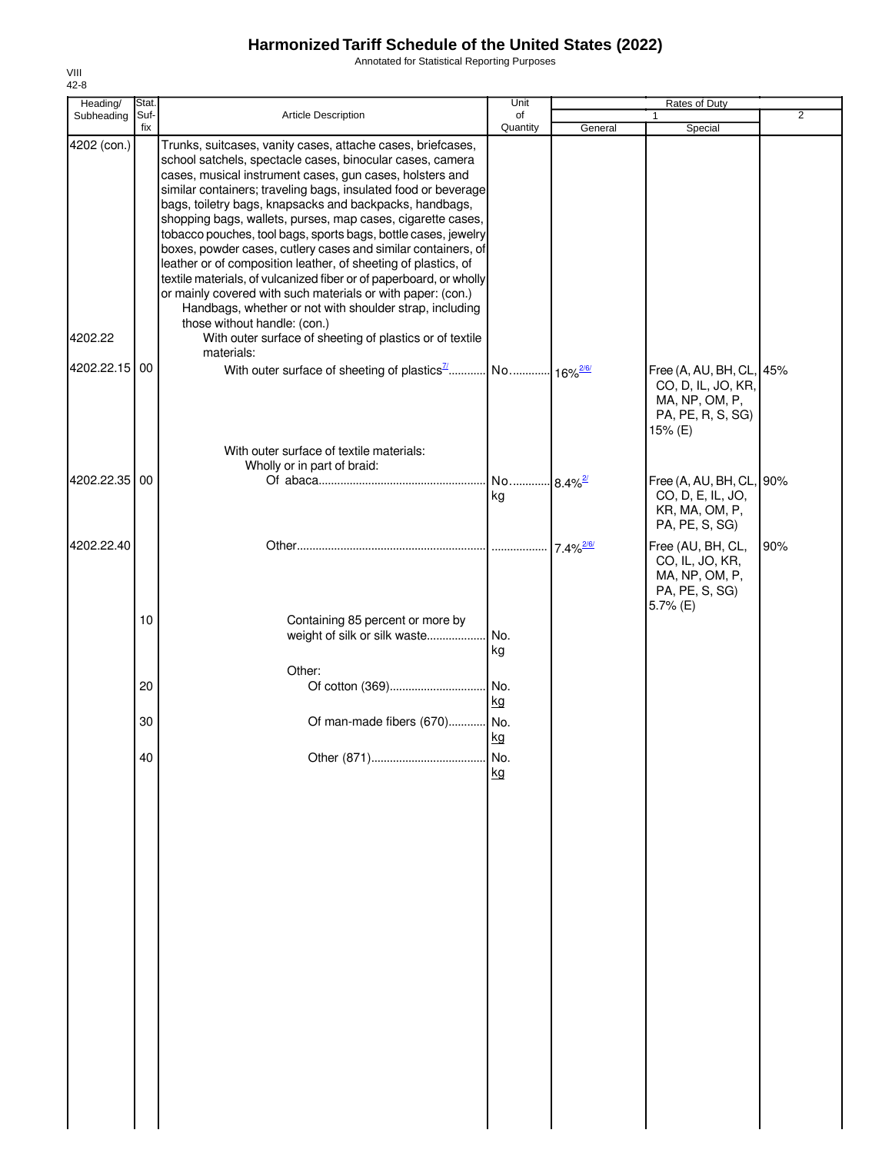Annotated for Statistical Reporting Purposes

| Heading/      | Stat. |                                                                                                                                                                                                                                                                                                                                                                                                                                                                                                                                                                                                                                                                                                                                                                                                                       | Unit                          |                         | Rates of Duty                                                                                    |                |
|---------------|-------|-----------------------------------------------------------------------------------------------------------------------------------------------------------------------------------------------------------------------------------------------------------------------------------------------------------------------------------------------------------------------------------------------------------------------------------------------------------------------------------------------------------------------------------------------------------------------------------------------------------------------------------------------------------------------------------------------------------------------------------------------------------------------------------------------------------------------|-------------------------------|-------------------------|--------------------------------------------------------------------------------------------------|----------------|
| Subheading    | Suf-  | Article Description                                                                                                                                                                                                                                                                                                                                                                                                                                                                                                                                                                                                                                                                                                                                                                                                   | of                            |                         |                                                                                                  | $\overline{2}$ |
| 4202 (con.)   | fix   | Trunks, suitcases, vanity cases, attache cases, briefcases,<br>school satchels, spectacle cases, binocular cases, camera<br>cases, musical instrument cases, gun cases, holsters and<br>similar containers; traveling bags, insulated food or beverage<br>bags, toiletry bags, knapsacks and backpacks, handbags,<br>shopping bags, wallets, purses, map cases, cigarette cases,<br>tobacco pouches, tool bags, sports bags, bottle cases, jewelry<br>boxes, powder cases, cutlery cases and similar containers, of<br>leather or of composition leather, of sheeting of plastics, of<br>textile materials, of vulcanized fiber or of paperboard, or wholly<br>or mainly covered with such materials or with paper: (con.)<br>Handbags, whether or not with shoulder strap, including<br>those without handle: (con.) | Quantity                      | General                 | Special                                                                                          |                |
| 4202.22       |       | With outer surface of sheeting of plastics or of textile                                                                                                                                                                                                                                                                                                                                                                                                                                                                                                                                                                                                                                                                                                                                                              |                               |                         |                                                                                                  |                |
| 4202.22.15 00 |       | materials:<br>With outer surface of textile materials:                                                                                                                                                                                                                                                                                                                                                                                                                                                                                                                                                                                                                                                                                                                                                                |                               |                         | Free (A, AU, BH, CL, 45%<br>CO, D, IL, JO, KR,<br>MA, NP, OM, P,<br>PA, PE, R, S, SG)<br>15% (E) |                |
|               |       | Wholly or in part of braid:                                                                                                                                                                                                                                                                                                                                                                                                                                                                                                                                                                                                                                                                                                                                                                                           |                               |                         |                                                                                                  |                |
| 4202.22.35 00 |       |                                                                                                                                                                                                                                                                                                                                                                                                                                                                                                                                                                                                                                                                                                                                                                                                                       | No 8.4% <sup>2/21</sup><br>kg |                         | Free (A, AU, BH, CL, 90%<br>CO, D, E, IL, JO,<br>KR, MA, OM, P,<br>PA, PE, S, SG)                |                |
| 4202.22.40    |       |                                                                                                                                                                                                                                                                                                                                                                                                                                                                                                                                                                                                                                                                                                                                                                                                                       |                               | $7.4\%$ <sup>2/6/</sup> | Free (AU, BH, CL,<br>CO, IL, JO, KR,<br>MA, NP, OM, P,<br>PA, PE, S, SG)                         | 90%            |
|               | 10    | Containing 85 percent or more by<br>weight of silk or silk waste                                                                                                                                                                                                                                                                                                                                                                                                                                                                                                                                                                                                                                                                                                                                                      | No.<br>kg                     |                         | 5.7% (E)                                                                                         |                |
|               | 20    | Other:<br>Of cotton (369)                                                                                                                                                                                                                                                                                                                                                                                                                                                                                                                                                                                                                                                                                                                                                                                             | No.<br>kg                     |                         |                                                                                                  |                |
|               | 30    | Of man-made fibers (670) No.                                                                                                                                                                                                                                                                                                                                                                                                                                                                                                                                                                                                                                                                                                                                                                                          | kg                            |                         |                                                                                                  |                |
|               | 40    | Other (871)                                                                                                                                                                                                                                                                                                                                                                                                                                                                                                                                                                                                                                                                                                                                                                                                           | No.<br>kg                     |                         |                                                                                                  |                |
|               |       |                                                                                                                                                                                                                                                                                                                                                                                                                                                                                                                                                                                                                                                                                                                                                                                                                       |                               |                         |                                                                                                  |                |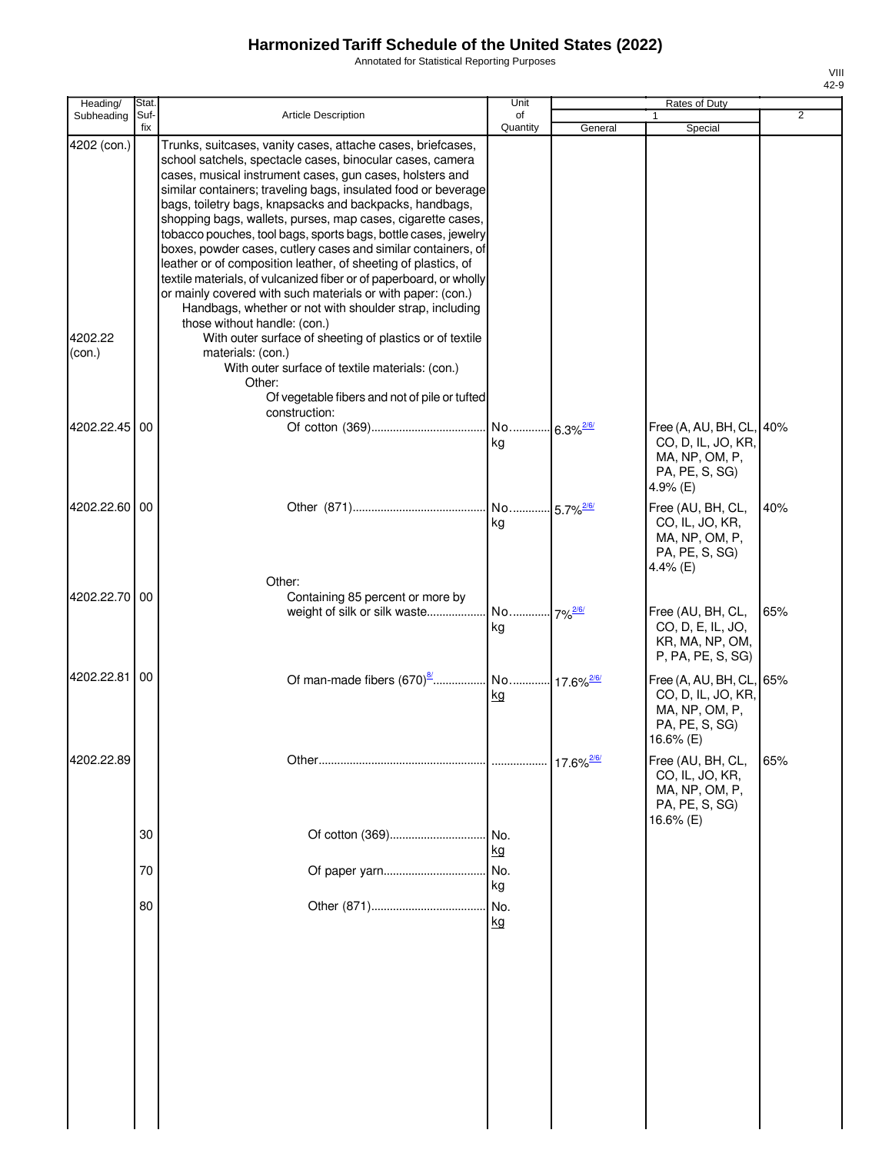Annotated for Statistical Reporting Purposes

| Heading/               | Stat.       |                                                                                                                                                                                                                                                                                                                                                                                                                                                                                                                                                                                                                                                                                                                                                                                                                                                                                   | Unit                          |                          | Rates of Duty                                                                               |     |
|------------------------|-------------|-----------------------------------------------------------------------------------------------------------------------------------------------------------------------------------------------------------------------------------------------------------------------------------------------------------------------------------------------------------------------------------------------------------------------------------------------------------------------------------------------------------------------------------------------------------------------------------------------------------------------------------------------------------------------------------------------------------------------------------------------------------------------------------------------------------------------------------------------------------------------------------|-------------------------------|--------------------------|---------------------------------------------------------------------------------------------|-----|
| Subheading             | Suf-<br>fix | <b>Article Description</b>                                                                                                                                                                                                                                                                                                                                                                                                                                                                                                                                                                                                                                                                                                                                                                                                                                                        | of<br>Quantity                | General                  | Special                                                                                     | 2   |
| 4202 (con.)<br>4202.22 |             | Trunks, suitcases, vanity cases, attache cases, briefcases,<br>school satchels, spectacle cases, binocular cases, camera<br>cases, musical instrument cases, gun cases, holsters and<br>similar containers; traveling bags, insulated food or beverage<br>bags, toiletry bags, knapsacks and backpacks, handbags,<br>shopping bags, wallets, purses, map cases, cigarette cases,<br>tobacco pouches, tool bags, sports bags, bottle cases, jewelry<br>boxes, powder cases, cutlery cases and similar containers, of<br>leather or of composition leather, of sheeting of plastics, of<br>textile materials, of vulcanized fiber or of paperboard, or wholly<br>or mainly covered with such materials or with paper: (con.)<br>Handbags, whether or not with shoulder strap, including<br>those without handle: (con.)<br>With outer surface of sheeting of plastics or of textile |                               |                          |                                                                                             |     |
| (con.)                 |             | materials: (con.)<br>With outer surface of textile materials: (con.)<br>Other:<br>Of vegetable fibers and not of pile or tufted<br>construction:                                                                                                                                                                                                                                                                                                                                                                                                                                                                                                                                                                                                                                                                                                                                  |                               |                          |                                                                                             |     |
| 4202.22.45             | 00          |                                                                                                                                                                                                                                                                                                                                                                                                                                                                                                                                                                                                                                                                                                                                                                                                                                                                                   | No 6.3% <sup>2/6/</sup><br>kg |                          | Free (A, AU, BH, CL,<br>CO, D, IL, JO, KR,<br>MA, NP, OM, P,<br>PA, PE, S, SG)<br>4.9% (E)  | 40% |
| 4202.22.60 00          |             |                                                                                                                                                                                                                                                                                                                                                                                                                                                                                                                                                                                                                                                                                                                                                                                                                                                                                   | No 5.7% <sup>2/6/</sup><br>kg |                          | Free (AU, BH, CL,<br>CO, IL, JO, KR,<br>MA, NP, OM, P,<br>PA, PE, S, SG)<br>4.4% (E)        | 40% |
| 4202.22.70             | 00          | Other:<br>Containing 85 percent or more by<br>weight of silk or silk waste                                                                                                                                                                                                                                                                                                                                                                                                                                                                                                                                                                                                                                                                                                                                                                                                        | kg                            |                          | Free (AU, BH, CL,<br>CO, D, E, IL, JO,<br>KR, MA, NP, OM,<br>P, PA, PE, S, SG)              | 65% |
| 4202.22.81             | 00          |                                                                                                                                                                                                                                                                                                                                                                                                                                                                                                                                                                                                                                                                                                                                                                                                                                                                                   | kg                            |                          | Free (A, AU, BH, CL,<br>CO, D, IL, JO, KR,<br>MA, NP, OM, P,<br>PA, PE, S, SG)<br>16.6% (E) | 65% |
| 4202.22.89             |             |                                                                                                                                                                                                                                                                                                                                                                                                                                                                                                                                                                                                                                                                                                                                                                                                                                                                                   |                               | $17.6\%$ <sup>2/6/</sup> | Free (AU, BH, CL,<br>CO, IL, JO, KR,<br>MA, NP, OM, P,<br>PA, PE, S, SG)<br>16.6% (E)       | 65% |
|                        | 30<br>70    | Of cotton (369)<br>Of paper yarn                                                                                                                                                                                                                                                                                                                                                                                                                                                                                                                                                                                                                                                                                                                                                                                                                                                  | INo.<br>kg<br>No.             |                          |                                                                                             |     |
|                        | 80          |                                                                                                                                                                                                                                                                                                                                                                                                                                                                                                                                                                                                                                                                                                                                                                                                                                                                                   | kg<br>No.<br>kg               |                          |                                                                                             |     |
|                        |             |                                                                                                                                                                                                                                                                                                                                                                                                                                                                                                                                                                                                                                                                                                                                                                                                                                                                                   |                               |                          |                                                                                             |     |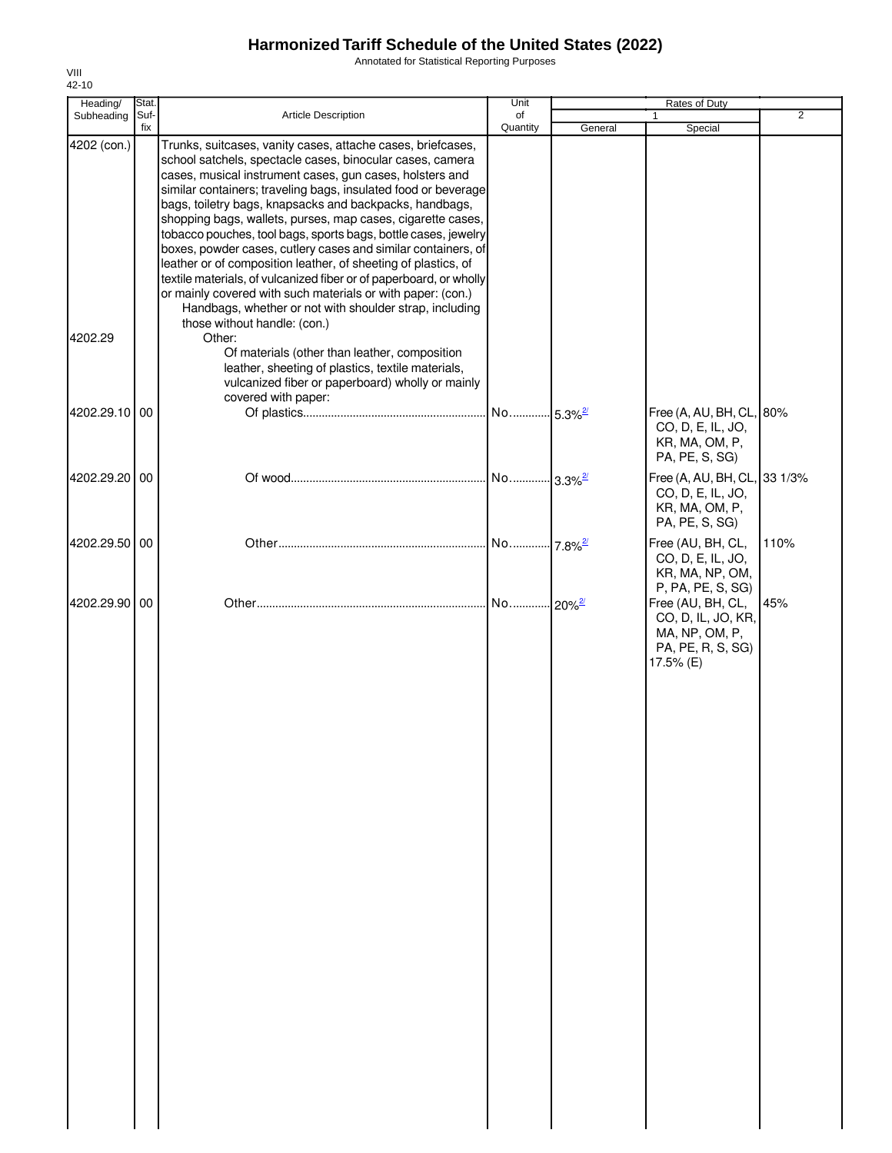Annotated for Statistical Reporting Purposes

| Heading/      | Stat.       |                                                                                                                                                                                                                                                                                                                                                                                                                                                                                                                                                                                                                                                                                                                                                                                                                       | Unit                   |         | Rates of Duty                                                                               |                |
|---------------|-------------|-----------------------------------------------------------------------------------------------------------------------------------------------------------------------------------------------------------------------------------------------------------------------------------------------------------------------------------------------------------------------------------------------------------------------------------------------------------------------------------------------------------------------------------------------------------------------------------------------------------------------------------------------------------------------------------------------------------------------------------------------------------------------------------------------------------------------|------------------------|---------|---------------------------------------------------------------------------------------------|----------------|
| Subheading    | Suf-<br>fix | <b>Article Description</b>                                                                                                                                                                                                                                                                                                                                                                                                                                                                                                                                                                                                                                                                                                                                                                                            | of<br>Quantity         | General | 1<br>Special                                                                                | $\overline{2}$ |
| 4202 (con.)   |             | Trunks, suitcases, vanity cases, attache cases, briefcases,<br>school satchels, spectacle cases, binocular cases, camera<br>cases, musical instrument cases, gun cases, holsters and<br>similar containers; traveling bags, insulated food or beverage<br>bags, toiletry bags, knapsacks and backpacks, handbags,<br>shopping bags, wallets, purses, map cases, cigarette cases,<br>tobacco pouches, tool bags, sports bags, bottle cases, jewelry<br>boxes, powder cases, cutlery cases and similar containers, of<br>leather or of composition leather, of sheeting of plastics, of<br>textile materials, of vulcanized fiber or of paperboard, or wholly<br>or mainly covered with such materials or with paper: (con.)<br>Handbags, whether or not with shoulder strap, including<br>those without handle: (con.) |                        |         |                                                                                             |                |
| 4202.29       |             | Other:<br>Of materials (other than leather, composition<br>leather, sheeting of plastics, textile materials,<br>vulcanized fiber or paperboard) wholly or mainly<br>covered with paper:                                                                                                                                                                                                                                                                                                                                                                                                                                                                                                                                                                                                                               |                        |         |                                                                                             |                |
| 4202.29.10 00 |             |                                                                                                                                                                                                                                                                                                                                                                                                                                                                                                                                                                                                                                                                                                                                                                                                                       | No 5.3% <sup>2/</sup>  |         | Free (A, AU, BH, CL, 80%<br>CO, D, E, IL, JO,<br>KR, MA, OM, P,<br>PA, PE, S, SG)           |                |
| 4202.29.20 00 |             |                                                                                                                                                                                                                                                                                                                                                                                                                                                                                                                                                                                                                                                                                                                                                                                                                       | No  3.3% <sup>2/</sup> |         | Free (A, AU, BH, CL, 33 1/3%<br>CO, D, E, IL, JO,<br>KR, MA, OM, P,<br>PA, PE, S, SG)       |                |
| 4202.29.50 00 |             |                                                                                                                                                                                                                                                                                                                                                                                                                                                                                                                                                                                                                                                                                                                                                                                                                       | No 7.8% <sup>2/</sup>  |         | Free (AU, BH, CL,<br>CO, D, E, IL, JO,<br>KR, MA, NP, OM,<br>P, PA, PE, S, SG)              | 110%           |
| 4202.29.90 00 |             |                                                                                                                                                                                                                                                                                                                                                                                                                                                                                                                                                                                                                                                                                                                                                                                                                       | No 20% <sup>2/</sup>   |         | Free (AU, BH, CL,<br>CO, D, IL, JO, KR,<br>MA, NP, OM, P,<br>PA, PE, R, S, SG)<br>17.5% (E) | 45%            |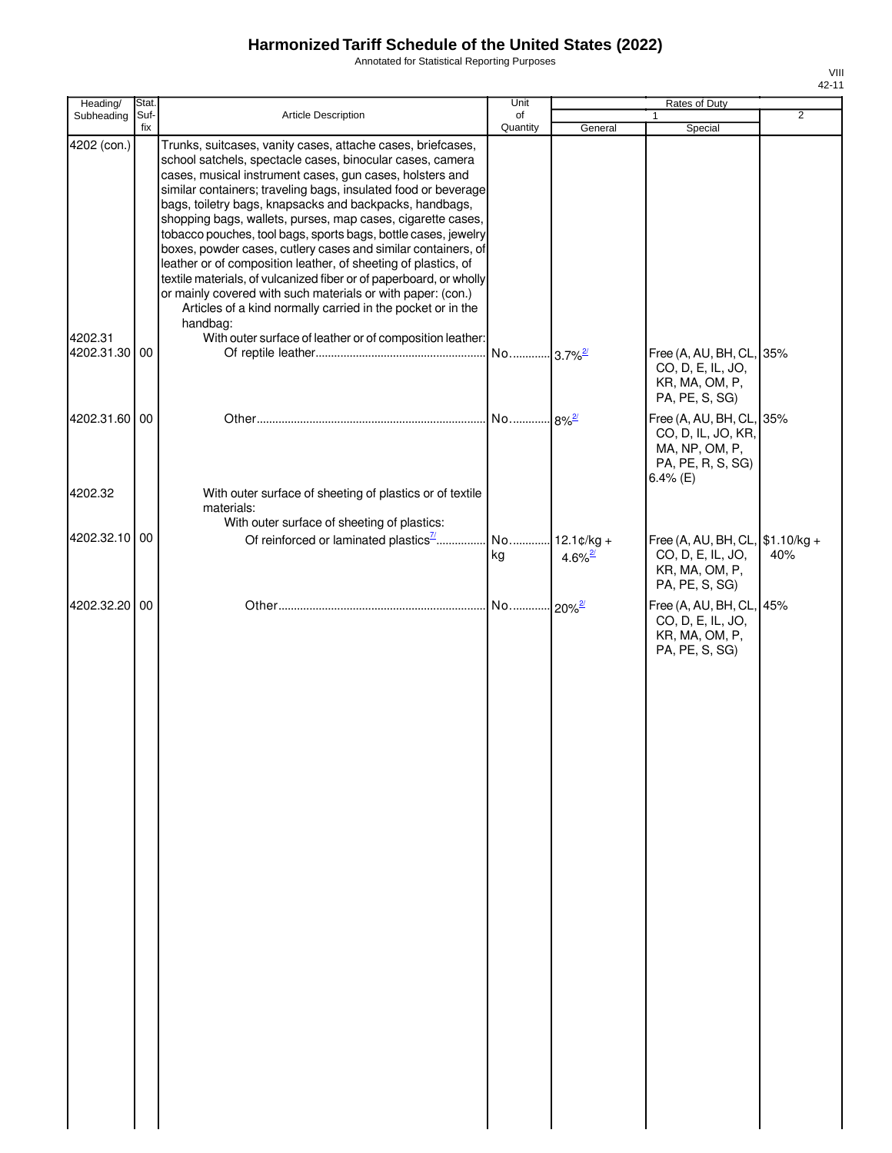Annotated for Statistical Reporting Purposes

| Heading/      | Stat. |                                                                                                                                                                                                              | Unit                |                       | Rates of Duty                                                                             |                |
|---------------|-------|--------------------------------------------------------------------------------------------------------------------------------------------------------------------------------------------------------------|---------------------|-----------------------|-------------------------------------------------------------------------------------------|----------------|
| Subheading    | Suf-  | Article Description                                                                                                                                                                                          | of                  |                       | $\mathbf{1}$                                                                              | $\overline{2}$ |
| 4202 (con.)   | fix   | Trunks, suitcases, vanity cases, attache cases, briefcases,<br>school satchels, spectacle cases, binocular cases, camera<br>cases, musical instrument cases, gun cases, holsters and                         | Quantity            | General               | Special                                                                                   |                |
|               |       | similar containers; traveling bags, insulated food or beverage<br>bags, toiletry bags, knapsacks and backpacks, handbags,<br>shopping bags, wallets, purses, map cases, cigarette cases,                     |                     |                       |                                                                                           |                |
|               |       | tobacco pouches, tool bags, sports bags, bottle cases, jewelry<br>boxes, powder cases, cutlery cases and similar containers, of<br>leather or of composition leather, of sheeting of plastics, of            |                     |                       |                                                                                           |                |
|               |       | textile materials, of vulcanized fiber or of paperboard, or wholly<br>or mainly covered with such materials or with paper: (con.)<br>Articles of a kind normally carried in the pocket or in the<br>handbag: |                     |                       |                                                                                           |                |
| 4202.31       |       | With outer surface of leather or of composition leather:                                                                                                                                                     |                     |                       |                                                                                           |                |
| 4202.31.30 00 |       |                                                                                                                                                                                                              |                     |                       | Free (A, AU, BH, CL, 35%<br>CO, D, E, IL, JO,<br>KR, MA, OM, P,<br>PA, PE, S, SG)         |                |
| 4202.31.60 00 |       |                                                                                                                                                                                                              | No 8% <sup>2/</sup> |                       | Free (A, AU, BH, CL, 35%<br>CO, D, IL, JO, KR,<br>MA, NP, OM, P,                          |                |
|               |       |                                                                                                                                                                                                              |                     |                       | PA, PE, R, S, SG)<br>6.4% (E)                                                             |                |
| 4202.32       |       | With outer surface of sheeting of plastics or of textile<br>materials:<br>With outer surface of sheeting of plastics:                                                                                        |                     |                       |                                                                                           |                |
| 4202.32.10 00 |       | Of reinforced or laminated plastics <sup>71</sup>                                                                                                                                                            | No 12.1¢/kg +<br>kg | $4.6\%$ <sup>2/</sup> | Free (A, AU, BH, CL, \$1.10/kg +<br>CO, D, E, IL, JO,<br>KR, MA, OM, P,<br>PA, PE, S, SG) | 40%            |
| 4202.32.20 00 |       |                                                                                                                                                                                                              |                     |                       | Free (A, AU, BH, CL, 45%<br>CO, D, E, IL, JO,<br>KR, MA, OM, P,<br>PA, PE, S, SG)         |                |
|               |       |                                                                                                                                                                                                              |                     |                       |                                                                                           |                |
|               |       |                                                                                                                                                                                                              |                     |                       |                                                                                           |                |
|               |       |                                                                                                                                                                                                              |                     |                       |                                                                                           |                |
|               |       |                                                                                                                                                                                                              |                     |                       |                                                                                           |                |
|               |       |                                                                                                                                                                                                              |                     |                       |                                                                                           |                |
|               |       |                                                                                                                                                                                                              |                     |                       |                                                                                           |                |
|               |       |                                                                                                                                                                                                              |                     |                       |                                                                                           |                |
|               |       |                                                                                                                                                                                                              |                     |                       |                                                                                           |                |
|               |       |                                                                                                                                                                                                              |                     |                       |                                                                                           |                |
|               |       |                                                                                                                                                                                                              |                     |                       |                                                                                           |                |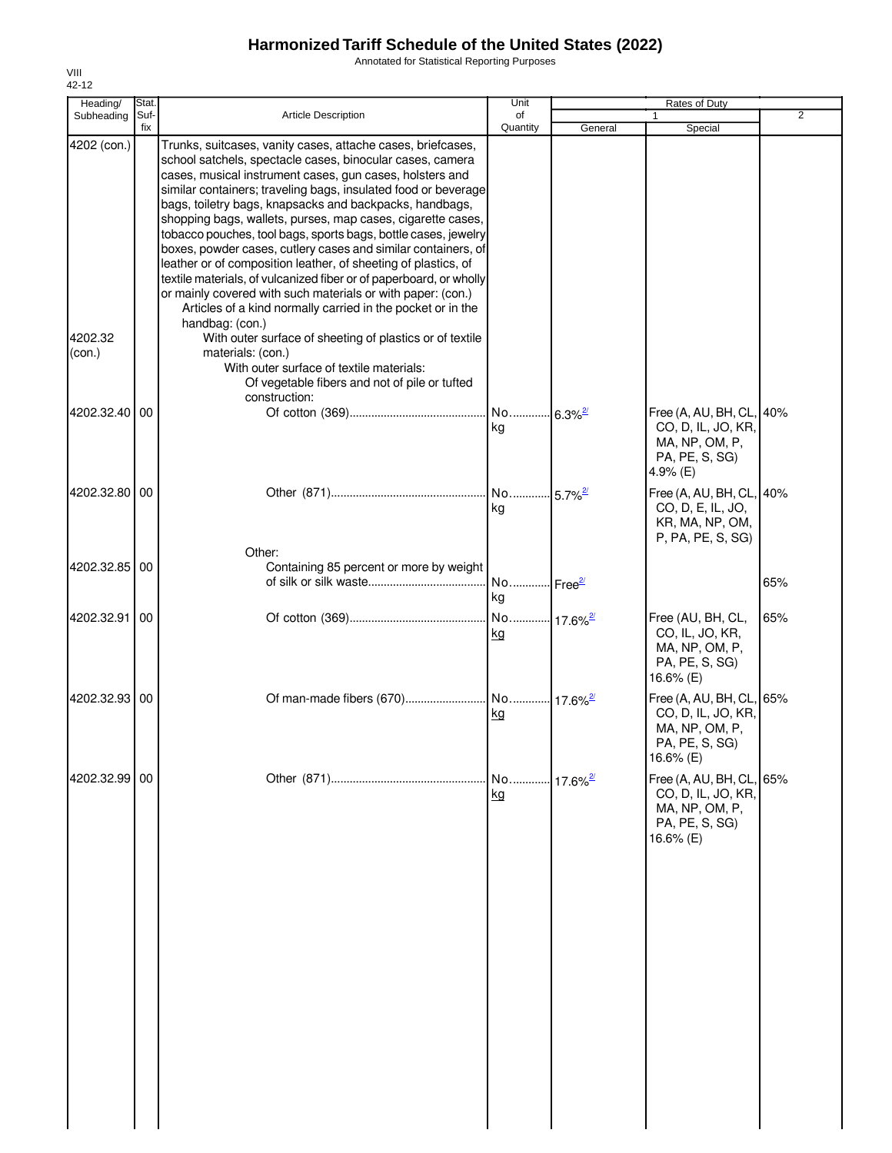Annotated for Statistical Reporting Purposes

| Heading/                         | Stat.       |                                                                                                                                                                                                                                                                                                                                                                                                                                                                                                                                                                                                                                                                                                                                                                                                                                                                                               | Unit                                |                        | Rates of Duty                                                                                    |                |
|----------------------------------|-------------|-----------------------------------------------------------------------------------------------------------------------------------------------------------------------------------------------------------------------------------------------------------------------------------------------------------------------------------------------------------------------------------------------------------------------------------------------------------------------------------------------------------------------------------------------------------------------------------------------------------------------------------------------------------------------------------------------------------------------------------------------------------------------------------------------------------------------------------------------------------------------------------------------|-------------------------------------|------------------------|--------------------------------------------------------------------------------------------------|----------------|
| Subheading                       | Suf-<br>fix | <b>Article Description</b>                                                                                                                                                                                                                                                                                                                                                                                                                                                                                                                                                                                                                                                                                                                                                                                                                                                                    | of<br>Quantity                      | General                | $\mathbf{1}$<br>Special                                                                          | $\overline{2}$ |
| 4202 (con.)<br>4202.32<br>(con.) |             | Trunks, suitcases, vanity cases, attache cases, briefcases,<br>school satchels, spectacle cases, binocular cases, camera<br>cases, musical instrument cases, gun cases, holsters and<br>similar containers; traveling bags, insulated food or beverage<br>bags, toiletry bags, knapsacks and backpacks, handbags,<br>shopping bags, wallets, purses, map cases, cigarette cases,<br>tobacco pouches, tool bags, sports bags, bottle cases, jewelry<br>boxes, powder cases, cutlery cases and similar containers, of<br>leather or of composition leather, of sheeting of plastics, of<br>textile materials, of vulcanized fiber or of paperboard, or wholly<br>or mainly covered with such materials or with paper: (con.)<br>Articles of a kind normally carried in the pocket or in the<br>handbag: (con.)<br>With outer surface of sheeting of plastics or of textile<br>materials: (con.) |                                     |                        |                                                                                                  |                |
| 4202.32.40                       | 00          | With outer surface of textile materials:<br>Of vegetable fibers and not of pile or tufted<br>construction:                                                                                                                                                                                                                                                                                                                                                                                                                                                                                                                                                                                                                                                                                                                                                                                    | No<br>kg                            | $-6.3\%$ <sup>2/</sup> | Free (A, AU, BH, CL, 40%<br>CO, D, IL, JO, KR,<br>MA, NP, OM, P,<br>PA, PE, S, SG)<br>4.9% $(E)$ |                |
| 4202.32.80 00                    |             | Other:                                                                                                                                                                                                                                                                                                                                                                                                                                                                                                                                                                                                                                                                                                                                                                                                                                                                                        | No<br>kg                            | $-5.7\%$ <sup>2/</sup> | Free (A, AU, BH, CL, 40%<br>CO, D, E, IL, JO,<br>KR, MA, NP, OM,<br>P, PA, PE, S, SG)            |                |
| 4202.32.85 00                    |             | Containing 85 percent or more by weight                                                                                                                                                                                                                                                                                                                                                                                                                                                                                                                                                                                                                                                                                                                                                                                                                                                       | No Free <sup>2/</sup><br>kg         |                        |                                                                                                  | 65%            |
| 4202.32.91                       | 00          |                                                                                                                                                                                                                                                                                                                                                                                                                                                                                                                                                                                                                                                                                                                                                                                                                                                                                               | No 17.6% <sup>2/</sup><br><u>kg</u> |                        | Free (AU, BH, CL,<br>CO, IL, JO, KR,<br>MA, NP, OM, P,<br>PA, PE, S, SG)<br>16.6% (E)            | 65%            |
| 4202.32.93 00                    |             |                                                                                                                                                                                                                                                                                                                                                                                                                                                                                                                                                                                                                                                                                                                                                                                                                                                                                               | <u>kg</u>                           |                        | Free (A, AU, BH, CL, 65%<br>CO, D, IL, JO, KR,<br>MA, NP, OM, P,<br>PA, PE, S, SG)<br>16.6% (E)  |                |
| 4202.32.99                       | 00          |                                                                                                                                                                                                                                                                                                                                                                                                                                                                                                                                                                                                                                                                                                                                                                                                                                                                                               | No 17.6% <sup>2/</sup><br>kg        |                        | Free (A, AU, BH, CL, 65%<br>CO, D, IL, JO, KR,<br>MA, NP, OM, P,<br>PA, PE, S, SG)<br>16.6% (E)  |                |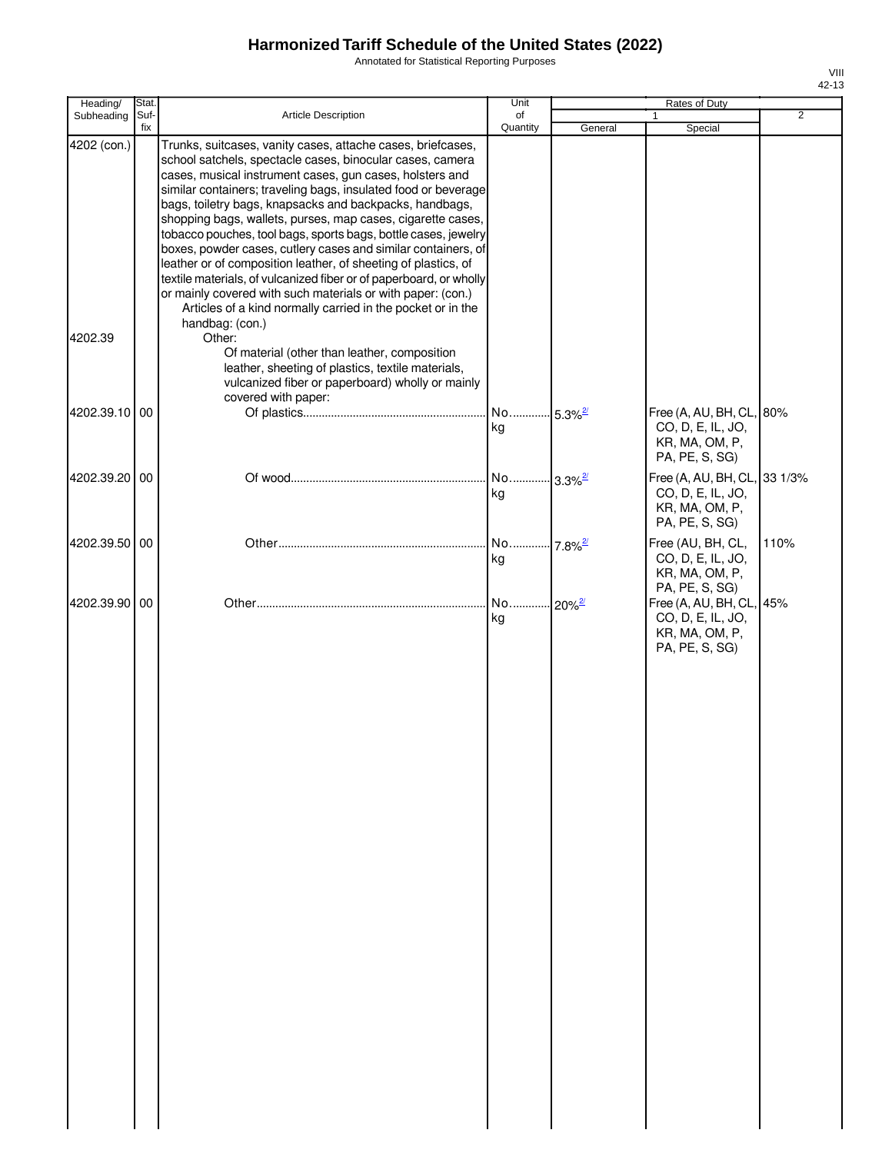Annotated for Statistical Reporting Purposes

| Heading/      | Stat.       |                                                                                                                                                                                                                                                                                                                                                                                                                                                                                                                                                                                                                                                                                                                                                                                                              | Unit                        |                        | Rates of Duty                                                                         |                |
|---------------|-------------|--------------------------------------------------------------------------------------------------------------------------------------------------------------------------------------------------------------------------------------------------------------------------------------------------------------------------------------------------------------------------------------------------------------------------------------------------------------------------------------------------------------------------------------------------------------------------------------------------------------------------------------------------------------------------------------------------------------------------------------------------------------------------------------------------------------|-----------------------------|------------------------|---------------------------------------------------------------------------------------|----------------|
| Subheading    | Suf-<br>fix | <b>Article Description</b>                                                                                                                                                                                                                                                                                                                                                                                                                                                                                                                                                                                                                                                                                                                                                                                   | of<br>Quantity              | General                | 1<br>Special                                                                          | $\overline{2}$ |
| 4202 (con.)   |             | Trunks, suitcases, vanity cases, attache cases, briefcases,<br>school satchels, spectacle cases, binocular cases, camera<br>cases, musical instrument cases, gun cases, holsters and<br>similar containers; traveling bags, insulated food or beverage<br>bags, toiletry bags, knapsacks and backpacks, handbags,<br>shopping bags, wallets, purses, map cases, cigarette cases,<br>tobacco pouches, tool bags, sports bags, bottle cases, jewelry<br>boxes, powder cases, cutlery cases and similar containers, of<br>leather or of composition leather, of sheeting of plastics, of<br>textile materials, of vulcanized fiber or of paperboard, or wholly<br>or mainly covered with such materials or with paper: (con.)<br>Articles of a kind normally carried in the pocket or in the<br>handbag: (con.) |                             |                        |                                                                                       |                |
| 4202.39       |             | Other:<br>Of material (other than leather, composition<br>leather, sheeting of plastics, textile materials,<br>vulcanized fiber or paperboard) wholly or mainly                                                                                                                                                                                                                                                                                                                                                                                                                                                                                                                                                                                                                                              |                             |                        |                                                                                       |                |
| 4202.39.10 00 |             | covered with paper:                                                                                                                                                                                                                                                                                                                                                                                                                                                                                                                                                                                                                                                                                                                                                                                          | No 5.3% <sup>2/</sup><br>kg |                        | Free (A, AU, BH, CL, 80%<br>CO, D, E, IL, JO,<br>KR, MA, OM, P,<br>PA, PE, S, SG)     |                |
| 4202.39.20    | 00          |                                                                                                                                                                                                                                                                                                                                                                                                                                                                                                                                                                                                                                                                                                                                                                                                              | No<br>kg                    | $3.3\%$ <sup>2/</sup>  | Free (A, AU, BH, CL, 33 1/3%<br>CO, D, E, IL, JO,<br>KR, MA, OM, P,<br>PA, PE, S, SG) |                |
| 4202.39.50 00 |             |                                                                                                                                                                                                                                                                                                                                                                                                                                                                                                                                                                                                                                                                                                                                                                                                              | No<br>kg                    | $-7.8\%$ <sup>2/</sup> | Free (AU, BH, CL,<br>CO, D, E, IL, JO,<br>KR, MA, OM, P,<br>PA, PE, S, SG)            | 110%           |
| 4202.39.90 00 |             |                                                                                                                                                                                                                                                                                                                                                                                                                                                                                                                                                                                                                                                                                                                                                                                                              | No<br>kg                    | $20\%$ <sup>2/</sup>   | Free (A, AU, BH, CL, 45%<br>CO, D, E, IL, JO,<br>KR, MA, OM, P,<br>PA, PE, S, SG)     |                |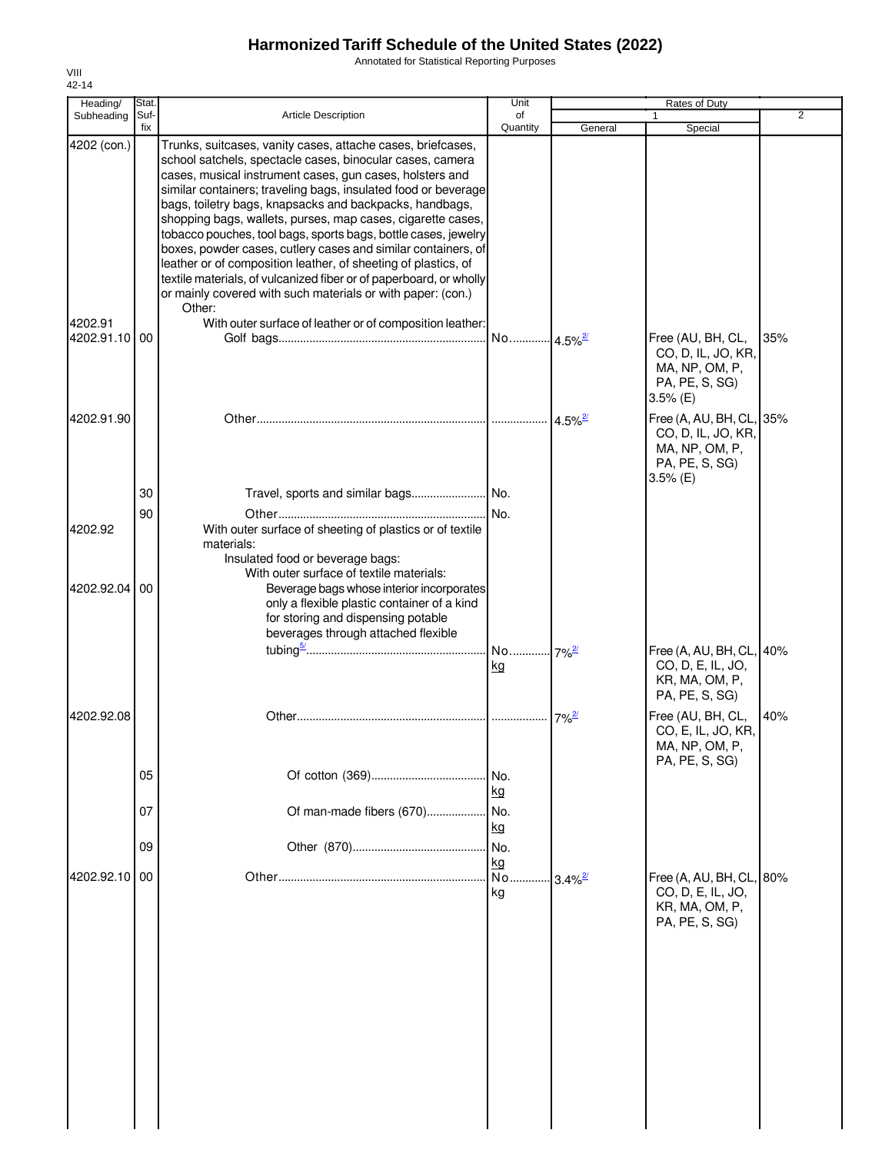Annotated for Statistical Reporting Purposes

| Heading/                 | Stat.       |                                                                                                                                                                                                                                                                                                                                                                                                                                                                                                                                                                                                                                                                                                                                      | Unit                  |                       | Rates of Duty                                                                                    |                |
|--------------------------|-------------|--------------------------------------------------------------------------------------------------------------------------------------------------------------------------------------------------------------------------------------------------------------------------------------------------------------------------------------------------------------------------------------------------------------------------------------------------------------------------------------------------------------------------------------------------------------------------------------------------------------------------------------------------------------------------------------------------------------------------------------|-----------------------|-----------------------|--------------------------------------------------------------------------------------------------|----------------|
| Subheading               | Suf-<br>fix | <b>Article Description</b>                                                                                                                                                                                                                                                                                                                                                                                                                                                                                                                                                                                                                                                                                                           | of<br>Quantity        | General               | 1<br>Special                                                                                     | $\overline{2}$ |
| 4202 (con.)              |             | Trunks, suitcases, vanity cases, attache cases, briefcases,<br>school satchels, spectacle cases, binocular cases, camera<br>cases, musical instrument cases, gun cases, holsters and<br>similar containers; traveling bags, insulated food or beverage<br>bags, toiletry bags, knapsacks and backpacks, handbags,<br>shopping bags, wallets, purses, map cases, cigarette cases,<br>tobacco pouches, tool bags, sports bags, bottle cases, jewelry<br>boxes, powder cases, cutlery cases and similar containers, of<br>leather or of composition leather, of sheeting of plastics, of<br>textile materials, of vulcanized fiber or of paperboard, or wholly<br>or mainly covered with such materials or with paper: (con.)<br>Other: |                       |                       |                                                                                                  |                |
| 4202.91<br>4202.91.10 00 |             | With outer surface of leather or of composition leather:                                                                                                                                                                                                                                                                                                                                                                                                                                                                                                                                                                                                                                                                             | No 4.5% <sup>2/</sup> |                       | Free (AU, BH, CL,<br>CO, D, IL, JO, KR,<br>MA, NP, OM, P,<br>PA, PE, S, SG)<br>$3.5%$ (E)        | 35%            |
| 4202.91.90               |             |                                                                                                                                                                                                                                                                                                                                                                                                                                                                                                                                                                                                                                                                                                                                      |                       | $4.5\%$ <sup>2/</sup> | Free (A, AU, BH, CL, 35%<br>CO, D, IL, JO, KR,<br>MA, NP, OM, P,<br>PA, PE, S, SG)<br>$3.5%$ (E) |                |
|                          | 30          |                                                                                                                                                                                                                                                                                                                                                                                                                                                                                                                                                                                                                                                                                                                                      |                       |                       |                                                                                                  |                |
| 4202.92                  | 90          | With outer surface of sheeting of plastics or of textile<br>materials:<br>Insulated food or beverage bags:                                                                                                                                                                                                                                                                                                                                                                                                                                                                                                                                                                                                                           | No.                   |                       |                                                                                                  |                |
| 4202.92.04 00            |             | With outer surface of textile materials:<br>Beverage bags whose interior incorporates<br>only a flexible plastic container of a kind<br>for storing and dispensing potable<br>beverages through attached flexible                                                                                                                                                                                                                                                                                                                                                                                                                                                                                                                    |                       |                       |                                                                                                  |                |
|                          |             |                                                                                                                                                                                                                                                                                                                                                                                                                                                                                                                                                                                                                                                                                                                                      | kg                    |                       | Free (A, AU, BH, CL, 40%<br>CO, D, E, IL, JO,<br>KR, MA, OM, P,<br>PA, PE, S, SG)                |                |
| 4202.92.08               |             |                                                                                                                                                                                                                                                                                                                                                                                                                                                                                                                                                                                                                                                                                                                                      |                       | $7\%$ <sup>2/</sup>   | Free (AU, BH, CL,<br>CO, E, IL, JO, KR,<br>MA, NP, OM, P,<br>PA, PE, S, SG)                      | 40%            |
|                          | 05          |                                                                                                                                                                                                                                                                                                                                                                                                                                                                                                                                                                                                                                                                                                                                      | No.<br>kg             |                       |                                                                                                  |                |
|                          | 07          | Of man-made fibers (670)                                                                                                                                                                                                                                                                                                                                                                                                                                                                                                                                                                                                                                                                                                             | No.<br>kg             |                       |                                                                                                  |                |
|                          | 09          |                                                                                                                                                                                                                                                                                                                                                                                                                                                                                                                                                                                                                                                                                                                                      | No.<br>kg             |                       |                                                                                                  |                |
| 4202.92.10 00            |             |                                                                                                                                                                                                                                                                                                                                                                                                                                                                                                                                                                                                                                                                                                                                      | No<br>kg              | $3.4\%$ <sup>2/</sup> | Free (A, AU, BH, CL, 80%<br>CO, D, E, IL, JO,<br>KR, MA, OM, P,<br>PA, PE, S, SG)                |                |
|                          |             |                                                                                                                                                                                                                                                                                                                                                                                                                                                                                                                                                                                                                                                                                                                                      |                       |                       |                                                                                                  |                |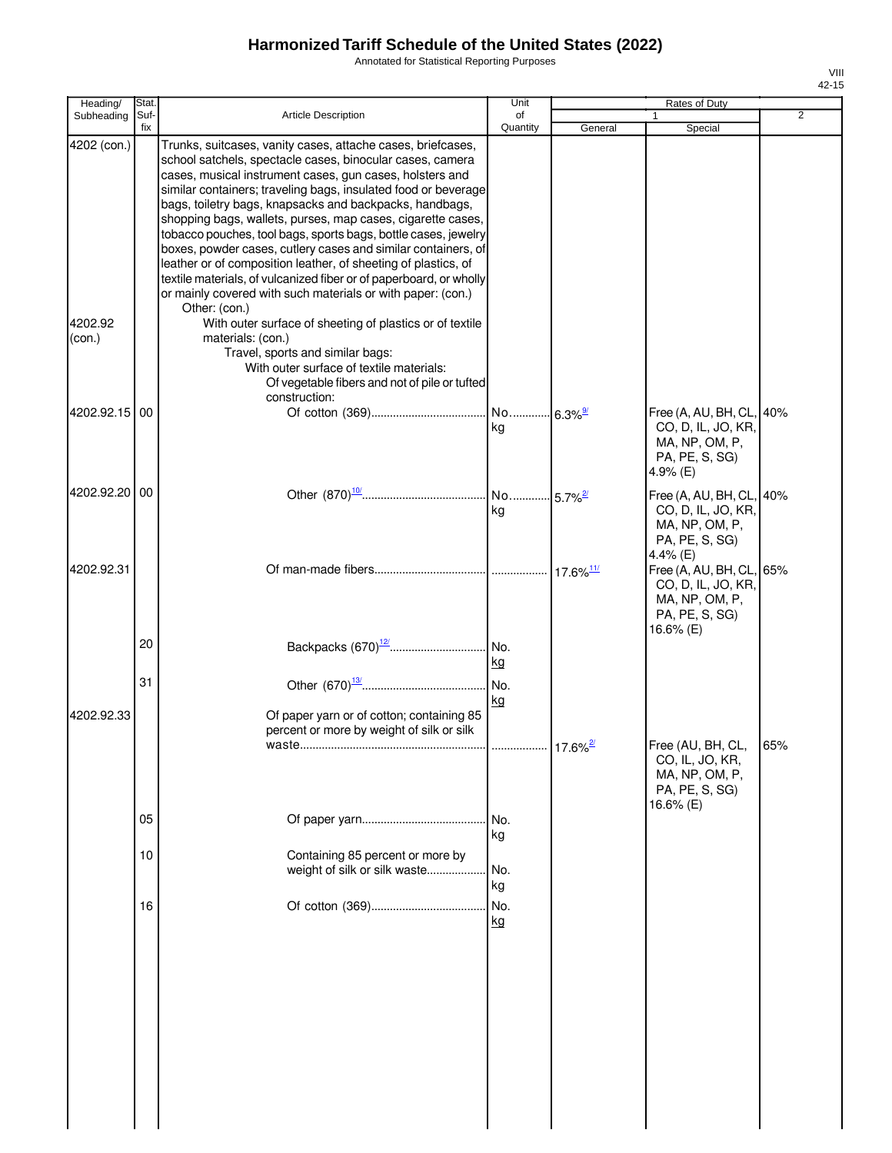Annotated for Statistical Reporting Purposes

| Heading/          | Stat.       |                                                                                                                                                                                                                                                                                                                                                                                                                                                                                                                                                                                                                                                                                                                                             | Unit            |                        | Rates of Duty                                                                                   |                |
|-------------------|-------------|---------------------------------------------------------------------------------------------------------------------------------------------------------------------------------------------------------------------------------------------------------------------------------------------------------------------------------------------------------------------------------------------------------------------------------------------------------------------------------------------------------------------------------------------------------------------------------------------------------------------------------------------------------------------------------------------------------------------------------------------|-----------------|------------------------|-------------------------------------------------------------------------------------------------|----------------|
| Subheading        | Suf-<br>fix | Article Description                                                                                                                                                                                                                                                                                                                                                                                                                                                                                                                                                                                                                                                                                                                         | of<br>Quantity  | General                | Special                                                                                         | $\overline{2}$ |
| 4202 (con.)       |             | Trunks, suitcases, vanity cases, attache cases, briefcases,<br>school satchels, spectacle cases, binocular cases, camera<br>cases, musical instrument cases, gun cases, holsters and<br>similar containers; traveling bags, insulated food or beverage<br>bags, toiletry bags, knapsacks and backpacks, handbags,<br>shopping bags, wallets, purses, map cases, cigarette cases,<br>tobacco pouches, tool bags, sports bags, bottle cases, jewelry<br>boxes, powder cases, cutlery cases and similar containers, of<br>leather or of composition leather, of sheeting of plastics, of<br>textile materials, of vulcanized fiber or of paperboard, or wholly<br>or mainly covered with such materials or with paper: (con.)<br>Other: (con.) |                 |                        |                                                                                                 |                |
| 4202.92<br>(con.) |             | With outer surface of sheeting of plastics or of textile<br>materials: (con.)<br>Travel, sports and similar bags:<br>With outer surface of textile materials:<br>Of vegetable fibers and not of pile or tufted<br>construction:                                                                                                                                                                                                                                                                                                                                                                                                                                                                                                             |                 |                        |                                                                                                 |                |
| 4202.92.15 00     |             |                                                                                                                                                                                                                                                                                                                                                                                                                                                                                                                                                                                                                                                                                                                                             | kg              |                        | Free (A, AU, BH, CL,<br>CO, D, IL, JO, KR,<br>MA, NP, OM, P,<br>PA, PE, S, SG)<br>4.9% (E)      | 40%            |
| 4202.92.20 00     |             |                                                                                                                                                                                                                                                                                                                                                                                                                                                                                                                                                                                                                                                                                                                                             | kg              |                        | Free (A, AU, BH, CL,<br>CO, D, IL, JO, KR,<br>MA, NP, OM, P,<br>PA, PE, S, SG)<br>4.4% (E)      | 40%            |
| 4202.92.31        | 20<br>31    |                                                                                                                                                                                                                                                                                                                                                                                                                                                                                                                                                                                                                                                                                                                                             | kg              |                        | Free (A, AU, BH, CL, 65%<br>CO, D, IL, JO, KR,<br>MA, NP, OM, P,<br>PA, PE, S, SG)<br>16.6% (E) |                |
| 4202.92.33        |             | Of paper yarn or of cotton; containing 85<br>percent or more by weight of silk or silk                                                                                                                                                                                                                                                                                                                                                                                                                                                                                                                                                                                                                                                      | kg              | $17.6\%$ <sup>2/</sup> | Free (AU, BH, CL,<br>CO, IL, JO, KR,<br>MA, NP, OM, P,<br>PA, PE, S, SG)                        | 65%            |
|                   | 05<br>10    | Containing 85 percent or more by<br>weight of silk or silk waste                                                                                                                                                                                                                                                                                                                                                                                                                                                                                                                                                                                                                                                                            | kg<br>No.<br>kg |                        | 16.6% (E)                                                                                       |                |
|                   | 16          |                                                                                                                                                                                                                                                                                                                                                                                                                                                                                                                                                                                                                                                                                                                                             | No.<br>kg       |                        |                                                                                                 |                |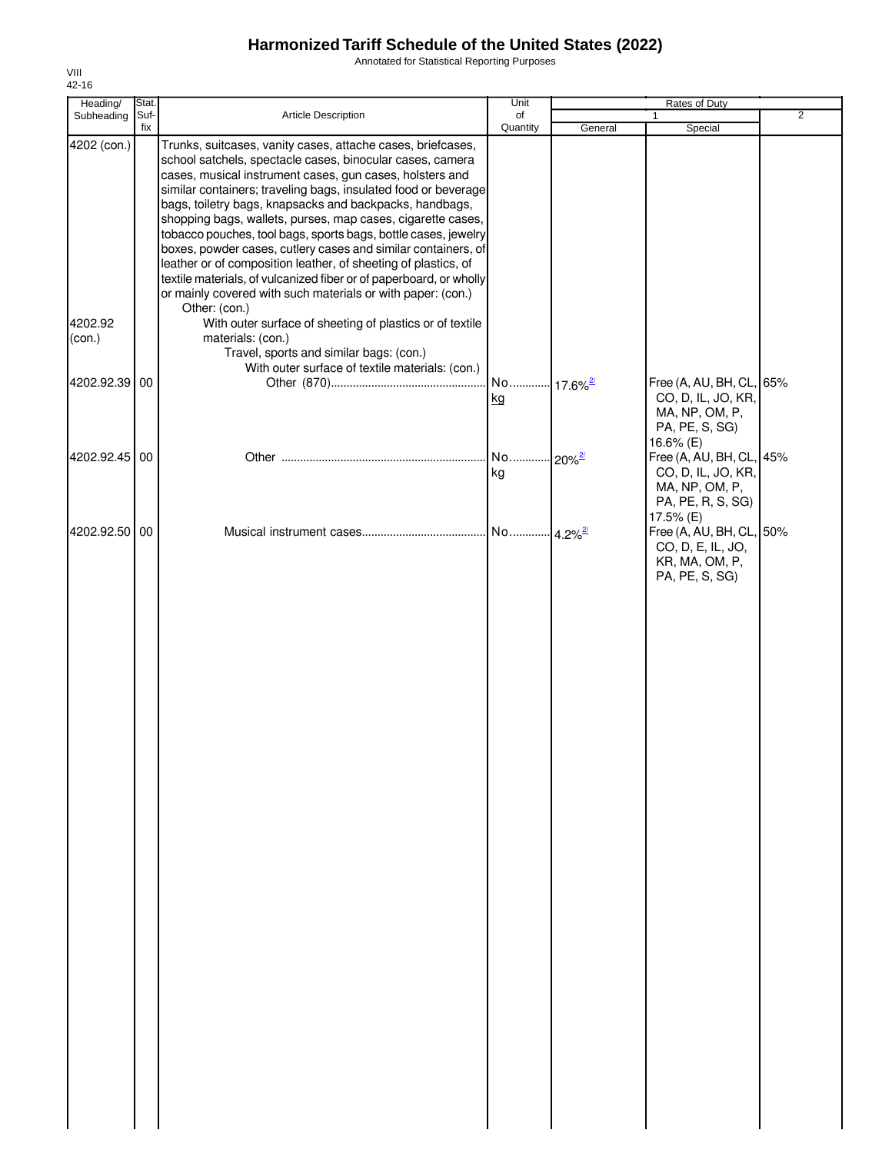Annotated for Statistical Reporting Purposes

| Heading/          | Stat.       |                                                                                                                                                                                                                                                                                                                                                                                                                                                                                                                                                                                                                                                                                                                                             | Unit                         | Rates of Duty         |                                                                                                    |                |
|-------------------|-------------|---------------------------------------------------------------------------------------------------------------------------------------------------------------------------------------------------------------------------------------------------------------------------------------------------------------------------------------------------------------------------------------------------------------------------------------------------------------------------------------------------------------------------------------------------------------------------------------------------------------------------------------------------------------------------------------------------------------------------------------------|------------------------------|-----------------------|----------------------------------------------------------------------------------------------------|----------------|
| Subheading        | Suf-<br>fix | Article Description                                                                                                                                                                                                                                                                                                                                                                                                                                                                                                                                                                                                                                                                                                                         | of<br>Quantity               | General               | $\mathbf{1}$<br>Special                                                                            | $\overline{2}$ |
| 4202 (con.)       |             | Trunks, suitcases, vanity cases, attache cases, briefcases,<br>school satchels, spectacle cases, binocular cases, camera<br>cases, musical instrument cases, gun cases, holsters and<br>similar containers; traveling bags, insulated food or beverage<br>bags, toiletry bags, knapsacks and backpacks, handbags,<br>shopping bags, wallets, purses, map cases, cigarette cases,<br>tobacco pouches, tool bags, sports bags, bottle cases, jewelry<br>boxes, powder cases, cutlery cases and similar containers, of<br>leather or of composition leather, of sheeting of plastics, of<br>textile materials, of vulcanized fiber or of paperboard, or wholly<br>or mainly covered with such materials or with paper: (con.)<br>Other: (con.) |                              |                       |                                                                                                    |                |
| 4202.92<br>(con.) |             | With outer surface of sheeting of plastics or of textile<br>materials: (con.)<br>Travel, sports and similar bags: (con.)<br>With outer surface of textile materials: (con.)                                                                                                                                                                                                                                                                                                                                                                                                                                                                                                                                                                 |                              |                       |                                                                                                    |                |
| 4202.92.39 00     |             |                                                                                                                                                                                                                                                                                                                                                                                                                                                                                                                                                                                                                                                                                                                                             | No 17.6% <sup>2/</sup><br>kg |                       | Free (A, AU, BH, CL, 65%<br>CO, D, IL, JO, KR,<br>MA, NP, OM, P,<br>PA, PE, S, SG)                 |                |
| 4202.92.45 00     |             |                                                                                                                                                                                                                                                                                                                                                                                                                                                                                                                                                                                                                                                                                                                                             | No<br>kg                     | $-20\%$ <sup>2/</sup> | 16.6% (E)<br>Free (A, AU, BH, CL, 45%<br>CO, D, IL, JO, KR,<br>MA, NP, OM, P,<br>PA, PE, R, S, SG) |                |
| 4202.92.50 00     |             |                                                                                                                                                                                                                                                                                                                                                                                                                                                                                                                                                                                                                                                                                                                                             | No                           | $4.2\%$ <sup>2/</sup> | 17.5% (E)<br>Free (A, AU, BH, CL, 50%<br>CO, D, E, IL, JO,<br>KR, MA, OM, P,<br>PA, PE, S, SG)     |                |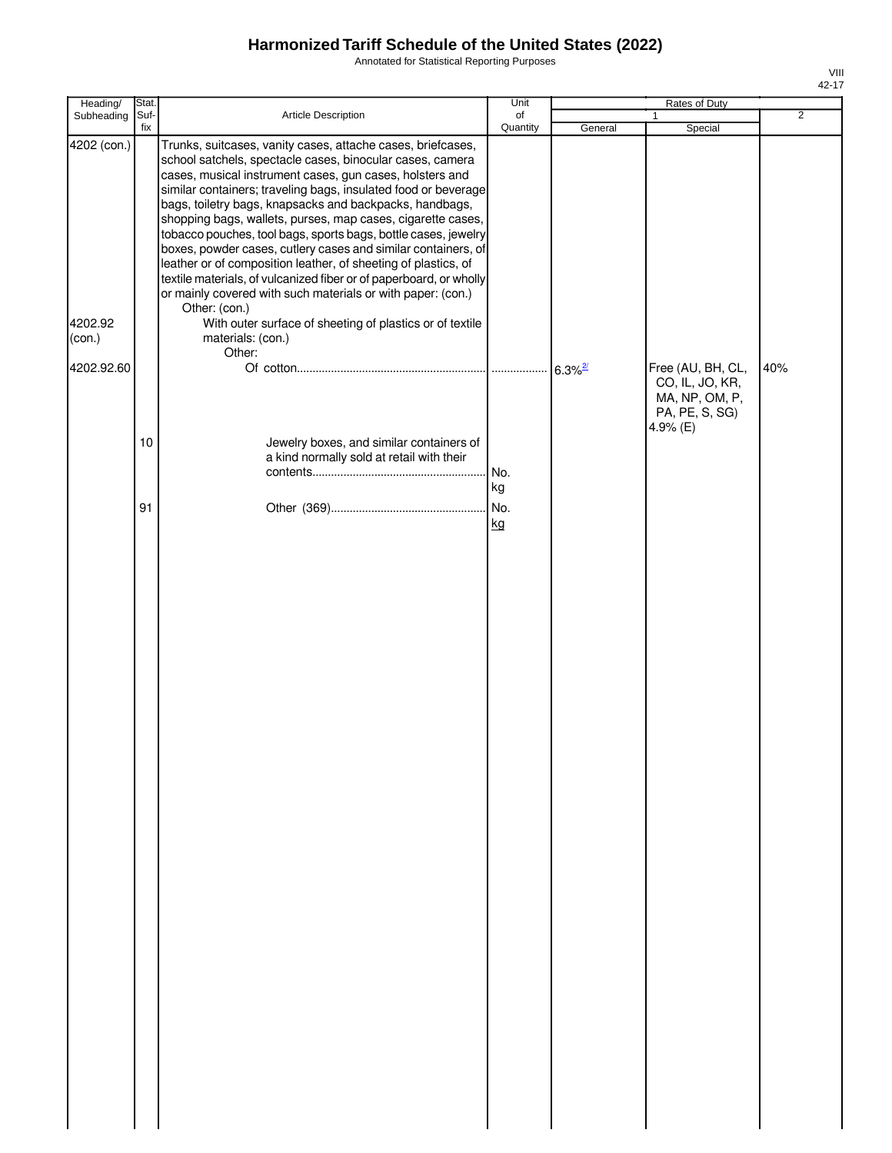Annotated for Statistical Reporting Purposes

| Heading/                                       | Stat.       |                                                                                                                                                                                                                                                                                                                                                                                                                                                                                                                                                                                                                                                                                                                                                                                                                                        | Unit            |                       | Rates of Duty                                                   |                |
|------------------------------------------------|-------------|----------------------------------------------------------------------------------------------------------------------------------------------------------------------------------------------------------------------------------------------------------------------------------------------------------------------------------------------------------------------------------------------------------------------------------------------------------------------------------------------------------------------------------------------------------------------------------------------------------------------------------------------------------------------------------------------------------------------------------------------------------------------------------------------------------------------------------------|-----------------|-----------------------|-----------------------------------------------------------------|----------------|
| Subheading                                     | Suf-<br>fix | Article Description                                                                                                                                                                                                                                                                                                                                                                                                                                                                                                                                                                                                                                                                                                                                                                                                                    | of<br>Quantity  |                       | $\mathbf{1}$                                                    | $\overline{2}$ |
| 4202 (con.)<br>4202.92<br>(con.)<br>4202.92.60 |             | Trunks, suitcases, vanity cases, attache cases, briefcases,<br>school satchels, spectacle cases, binocular cases, camera<br>cases, musical instrument cases, gun cases, holsters and<br>similar containers; traveling bags, insulated food or beverage<br>bags, toiletry bags, knapsacks and backpacks, handbags,<br>shopping bags, wallets, purses, map cases, cigarette cases,<br>tobacco pouches, tool bags, sports bags, bottle cases, jewelry<br>boxes, powder cases, cutlery cases and similar containers, of<br>leather or of composition leather, of sheeting of plastics, of<br>textile materials, of vulcanized fiber or of paperboard, or wholly<br>or mainly covered with such materials or with paper: (con.)<br>Other: (con.)<br>With outer surface of sheeting of plastics or of textile<br>materials: (con.)<br>Other: |                 | General               | Special<br>Free (AU, BH, CL,                                    | 40%            |
|                                                | 10          | Jewelry boxes, and similar containers of<br>a kind normally sold at retail with their                                                                                                                                                                                                                                                                                                                                                                                                                                                                                                                                                                                                                                                                                                                                                  | No.             | $6.3\%$ <sup>2/</sup> | CO, IL, JO, KR,<br>MA, NP, OM, P,<br>PA, PE, S, SG)<br>4.9% (E) |                |
|                                                | 91          |                                                                                                                                                                                                                                                                                                                                                                                                                                                                                                                                                                                                                                                                                                                                                                                                                                        | kg<br>No.<br>kg |                       |                                                                 |                |
|                                                |             |                                                                                                                                                                                                                                                                                                                                                                                                                                                                                                                                                                                                                                                                                                                                                                                                                                        |                 |                       |                                                                 |                |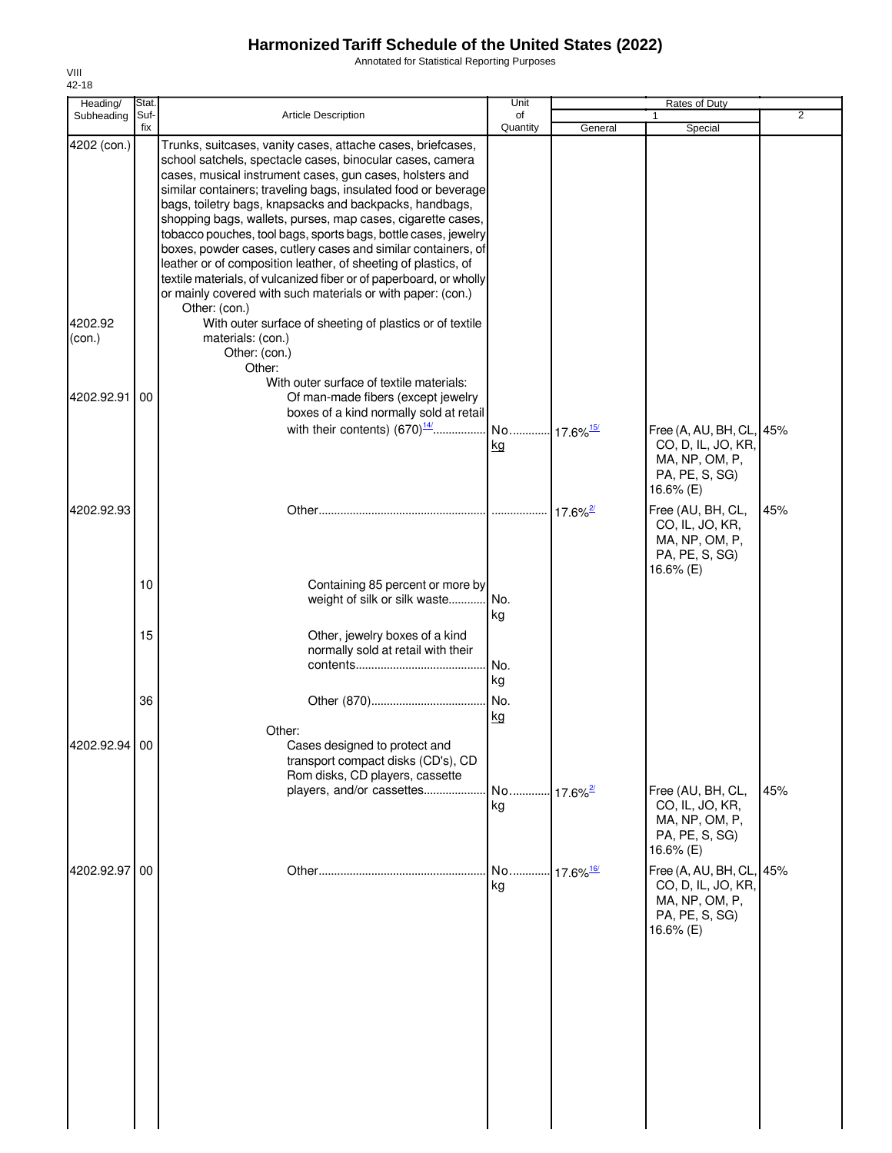Annotated for Statistical Reporting Purposes

| Heading/               | Stat.       |                                                                                                                                                                                                                                                                                                                                                                                                                                                                                                                                                                                                                                                                                                                                                                                                         | Unit           |                              | Rates of Duty                                                                                   |                |
|------------------------|-------------|---------------------------------------------------------------------------------------------------------------------------------------------------------------------------------------------------------------------------------------------------------------------------------------------------------------------------------------------------------------------------------------------------------------------------------------------------------------------------------------------------------------------------------------------------------------------------------------------------------------------------------------------------------------------------------------------------------------------------------------------------------------------------------------------------------|----------------|------------------------------|-------------------------------------------------------------------------------------------------|----------------|
| Subheading             | Suf-<br>fix | <b>Article Description</b>                                                                                                                                                                                                                                                                                                                                                                                                                                                                                                                                                                                                                                                                                                                                                                              | of<br>Quantity | General                      | 1<br>Special                                                                                    | $\overline{2}$ |
| 4202 (con.)<br>4202.92 |             | Trunks, suitcases, vanity cases, attache cases, briefcases,<br>school satchels, spectacle cases, binocular cases, camera<br>cases, musical instrument cases, gun cases, holsters and<br>similar containers; traveling bags, insulated food or beverage<br>bags, toiletry bags, knapsacks and backpacks, handbags,<br>shopping bags, wallets, purses, map cases, cigarette cases,<br>tobacco pouches, tool bags, sports bags, bottle cases, jewelry<br>boxes, powder cases, cutlery cases and similar containers, of<br>leather or of composition leather, of sheeting of plastics, of<br>textile materials, of vulcanized fiber or of paperboard, or wholly<br>or mainly covered with such materials or with paper: (con.)<br>Other: (con.)<br>With outer surface of sheeting of plastics or of textile |                |                              |                                                                                                 |                |
| (con.)                 |             | materials: (con.)<br>Other: (con.)<br>Other:<br>With outer surface of textile materials:                                                                                                                                                                                                                                                                                                                                                                                                                                                                                                                                                                                                                                                                                                                |                |                              |                                                                                                 |                |
| 4202.92.91             | 00          | Of man-made fibers (except jewelry<br>boxes of a kind normally sold at retail                                                                                                                                                                                                                                                                                                                                                                                                                                                                                                                                                                                                                                                                                                                           | kg             |                              | Free (A, AU, BH, CL, 45%<br>CO, D, IL, JO, KR,<br>MA, NP, OM, P,<br>PA, PE, S, SG)<br>16.6% (E) |                |
| 4202.92.93             |             |                                                                                                                                                                                                                                                                                                                                                                                                                                                                                                                                                                                                                                                                                                                                                                                                         |                | $17.6\%$ <sup>2/</sup>       | Free (AU, BH, CL,<br>CO, IL, JO, KR,<br>MA, NP, OM, P,<br>PA, PE, S, SG)<br>16.6% (E)           | 45%            |
|                        | 10          | Containing 85 percent or more by<br>weight of silk or silk waste                                                                                                                                                                                                                                                                                                                                                                                                                                                                                                                                                                                                                                                                                                                                        | . No.<br>kg    |                              |                                                                                                 |                |
|                        | 15          | Other, jewelry boxes of a kind<br>normally sold at retail with their                                                                                                                                                                                                                                                                                                                                                                                                                                                                                                                                                                                                                                                                                                                                    | No.<br>kg      |                              |                                                                                                 |                |
| 4202.92.94             | 36<br>00    | Other:<br>Cases designed to protect and                                                                                                                                                                                                                                                                                                                                                                                                                                                                                                                                                                                                                                                                                                                                                                 | No.<br>kg      |                              |                                                                                                 |                |
|                        |             | transport compact disks (CD's), CD<br>Rom disks, CD players, cassette<br>players, and/or cassettes                                                                                                                                                                                                                                                                                                                                                                                                                                                                                                                                                                                                                                                                                                      | No<br>kg       | $\cdot$ 17.6% $\frac{27}{2}$ | Free (AU, BH, CL,<br>CO, IL, JO, KR,<br>MA, NP, OM, P,<br>PA, PE, S, SG)<br>16.6% (E)           | 45%            |
| 4202.92.97             | 00          |                                                                                                                                                                                                                                                                                                                                                                                                                                                                                                                                                                                                                                                                                                                                                                                                         | No<br>kg       | 17.6% 16/                    | Free (A, AU, BH, CL, 45%<br>CO, D, IL, JO, KR,<br>MA, NP, OM, P,<br>PA, PE, S, SG)<br>16.6% (E) |                |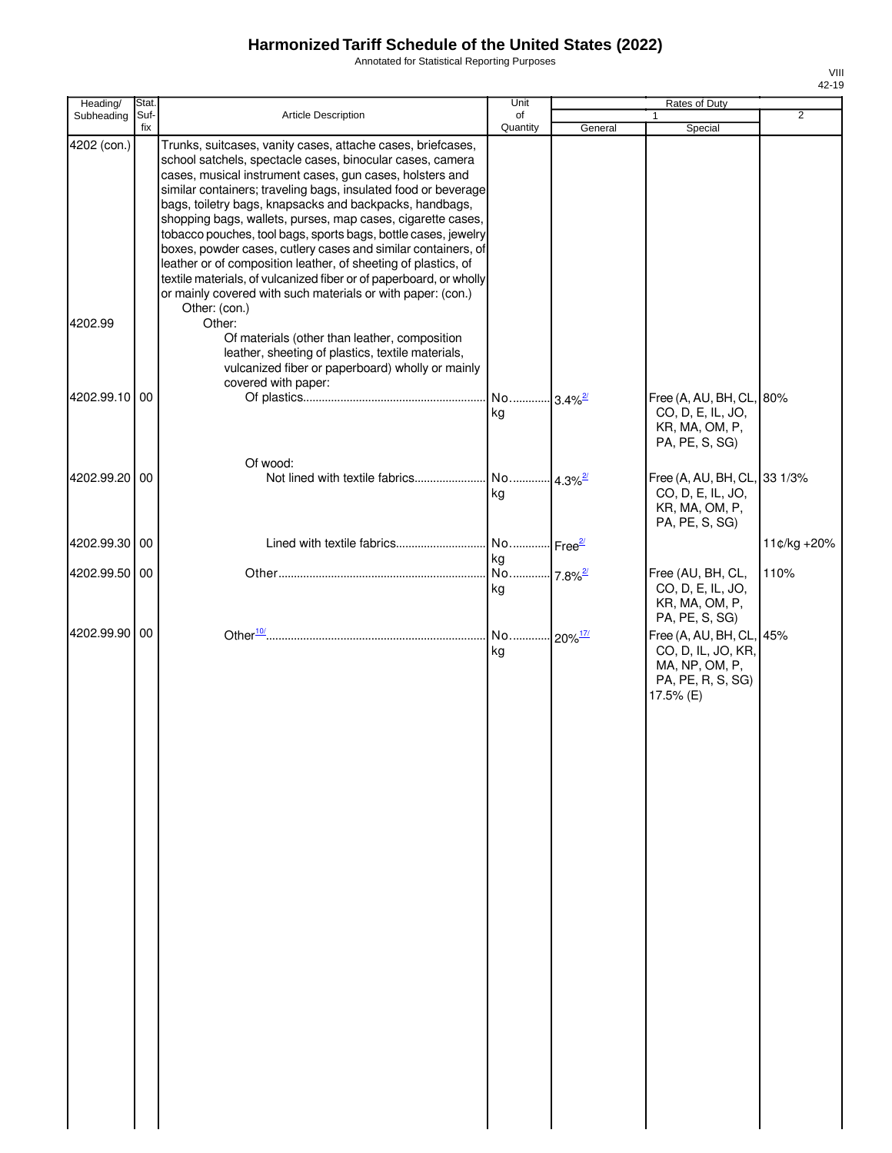Annotated for Statistical Reporting Purposes

| Heading/      | Stat. |                                                                                                                                   | Unit                        |                        | Rates of Duty                          |                |
|---------------|-------|-----------------------------------------------------------------------------------------------------------------------------------|-----------------------------|------------------------|----------------------------------------|----------------|
| Subheading    | Suf-  | Article Description                                                                                                               | of                          |                        |                                        | $\overline{2}$ |
| 4202 (con.)   | fix   | Trunks, suitcases, vanity cases, attache cases, briefcases,                                                                       | Quantity                    | General                | Special                                |                |
|               |       | school satchels, spectacle cases, binocular cases, camera                                                                         |                             |                        |                                        |                |
|               |       | cases, musical instrument cases, gun cases, holsters and                                                                          |                             |                        |                                        |                |
|               |       | similar containers; traveling bags, insulated food or beverage<br>bags, toiletry bags, knapsacks and backpacks, handbags,         |                             |                        |                                        |                |
|               |       | shopping bags, wallets, purses, map cases, cigarette cases,                                                                       |                             |                        |                                        |                |
|               |       | tobacco pouches, tool bags, sports bags, bottle cases, jewelry                                                                    |                             |                        |                                        |                |
|               |       | boxes, powder cases, cutlery cases and similar containers, of                                                                     |                             |                        |                                        |                |
|               |       | leather or of composition leather, of sheeting of plastics, of                                                                    |                             |                        |                                        |                |
|               |       | textile materials, of vulcanized fiber or of paperboard, or wholly<br>or mainly covered with such materials or with paper: (con.) |                             |                        |                                        |                |
|               |       | Other: (con.)                                                                                                                     |                             |                        |                                        |                |
| 4202.99       |       | Other:                                                                                                                            |                             |                        |                                        |                |
|               |       | Of materials (other than leather, composition<br>leather, sheeting of plastics, textile materials,                                |                             |                        |                                        |                |
|               |       | vulcanized fiber or paperboard) wholly or mainly                                                                                  |                             |                        |                                        |                |
|               |       | covered with paper:                                                                                                               |                             |                        |                                        |                |
| 4202.99.10 00 |       |                                                                                                                                   | No                          | $-3.4\%$ <sup>2/</sup> | Free (A, AU, BH, CL, 80%               |                |
|               |       |                                                                                                                                   | kg                          |                        | CO, D, E, IL, JO,                      |                |
|               |       |                                                                                                                                   |                             |                        | KR, MA, OM, P,<br>PA, PE, S, SG)       |                |
|               |       |                                                                                                                                   |                             |                        |                                        |                |
| 4202.99.20 00 |       | Of wood:<br>Not lined with textile fabrics                                                                                        | . No  4.3% <sup>2/</sup>    |                        | Free (A, AU, BH, CL, 33 1/3%           |                |
|               |       |                                                                                                                                   | kg                          |                        | CO, D, E, IL, JO,                      |                |
|               |       |                                                                                                                                   |                             |                        | KR, MA, OM, P,                         |                |
|               |       |                                                                                                                                   |                             |                        | PA, PE, S, SG)                         |                |
| 4202.99.30 00 |       | Lined with textile fabrics                                                                                                        | No Free <sup>2/</sup>       |                        |                                        | 11¢/kg +20%    |
|               |       |                                                                                                                                   | kg                          |                        |                                        |                |
| 4202.99.50 00 |       |                                                                                                                                   | No 7.8% <sup>2/</sup><br>kg |                        | Free (AU, BH, CL,<br>CO, D, E, IL, JO, | 110%           |
|               |       |                                                                                                                                   |                             |                        | KR, MA, OM, P,                         |                |
|               |       |                                                                                                                                   |                             |                        | PA, PE, S, SG)                         |                |
| 4202.99.90 00 |       |                                                                                                                                   |                             |                        | Free (A, AU, BH, CL, 45%               |                |
|               |       |                                                                                                                                   | kg                          |                        | CO, D, IL, JO, KR,                     |                |
|               |       |                                                                                                                                   |                             |                        | MA, NP, OM, P,<br>PA, PE, R, S, SG)    |                |
|               |       |                                                                                                                                   |                             |                        | 17.5% (E)                              |                |
|               |       |                                                                                                                                   |                             |                        |                                        |                |
|               |       |                                                                                                                                   |                             |                        |                                        |                |
|               |       |                                                                                                                                   |                             |                        |                                        |                |
|               |       |                                                                                                                                   |                             |                        |                                        |                |
|               |       |                                                                                                                                   |                             |                        |                                        |                |
|               |       |                                                                                                                                   |                             |                        |                                        |                |
|               |       |                                                                                                                                   |                             |                        |                                        |                |
|               |       |                                                                                                                                   |                             |                        |                                        |                |
|               |       |                                                                                                                                   |                             |                        |                                        |                |
|               |       |                                                                                                                                   |                             |                        |                                        |                |
|               |       |                                                                                                                                   |                             |                        |                                        |                |
|               |       |                                                                                                                                   |                             |                        |                                        |                |
|               |       |                                                                                                                                   |                             |                        |                                        |                |
|               |       |                                                                                                                                   |                             |                        |                                        |                |
|               |       |                                                                                                                                   |                             |                        |                                        |                |
|               |       |                                                                                                                                   |                             |                        |                                        |                |
|               |       |                                                                                                                                   |                             |                        |                                        |                |
|               |       |                                                                                                                                   |                             |                        |                                        |                |
|               |       |                                                                                                                                   |                             |                        |                                        |                |
|               |       |                                                                                                                                   |                             |                        |                                        |                |
|               |       |                                                                                                                                   |                             |                        |                                        |                |
|               |       |                                                                                                                                   |                             |                        |                                        |                |
|               |       |                                                                                                                                   |                             |                        |                                        |                |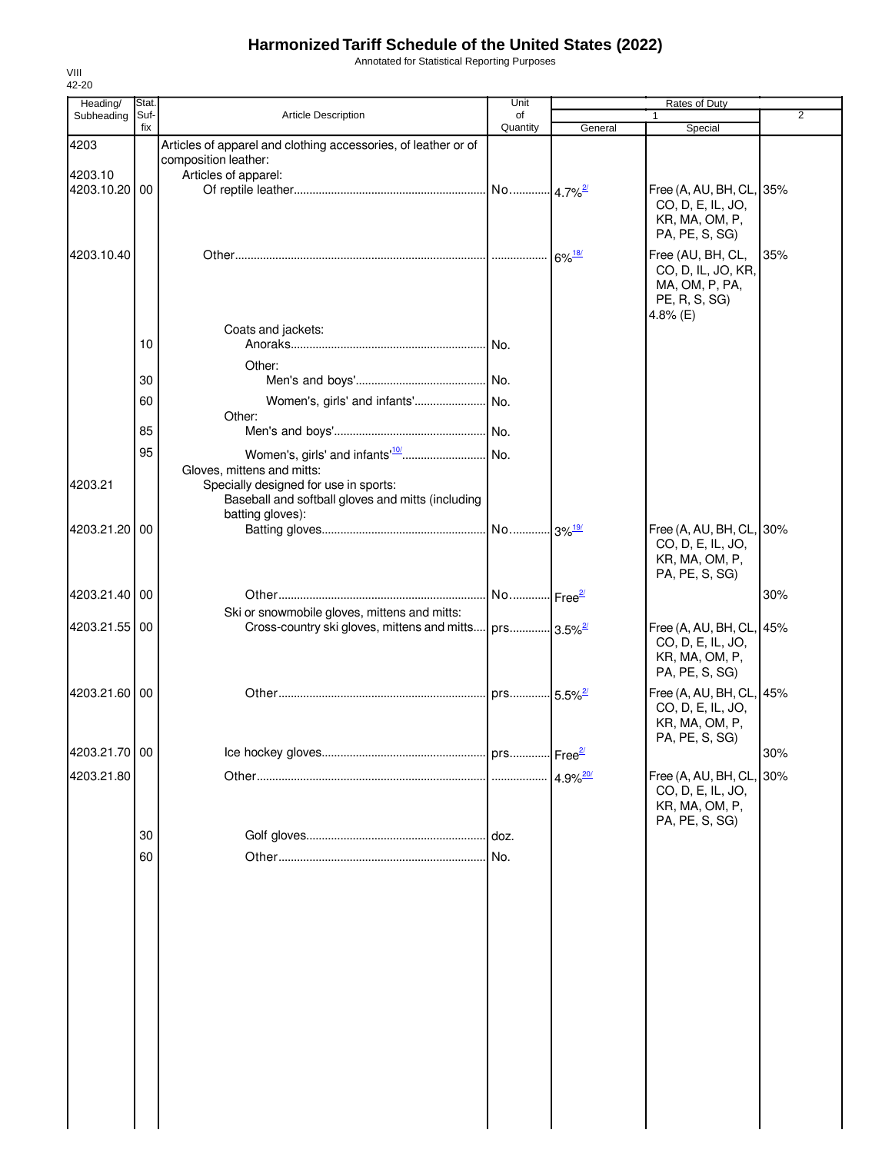Annotated for Statistical Reporting Purposes

| Heading/      | Stat.       |                                                                    | Unit           |                        | Rates of Duty                                 |     |
|---------------|-------------|--------------------------------------------------------------------|----------------|------------------------|-----------------------------------------------|-----|
| Subheading    | Suf-<br>fix | Article Description                                                | of<br>Quantity | General                | $\mathbf{1}$<br>Special                       | 2   |
| 4203          |             | Articles of apparel and clothing accessories, of leather or of     |                |                        |                                               |     |
|               |             | composition leather:                                               |                |                        |                                               |     |
| 4203.10       |             | Articles of apparel:                                               |                |                        |                                               |     |
| 4203.10.20 00 |             |                                                                    |                |                        | Free (A, AU, BH, CL, 35%<br>CO, D, E, IL, JO, |     |
|               |             |                                                                    |                |                        | KR, MA, OM, P,                                |     |
|               |             |                                                                    |                |                        | PA, PE, S, SG)                                |     |
| 4203.10.40    |             |                                                                    |                | $6\%$ <sup>18/</sup>   | Free (AU, BH, CL,                             | 35% |
|               |             |                                                                    |                |                        | CO, D, IL, JO, KR,                            |     |
|               |             |                                                                    |                |                        | MA, OM, P, PA,<br>PE, R, S, SG)               |     |
|               |             |                                                                    |                |                        | 4.8% (E)                                      |     |
|               |             | Coats and jackets:                                                 |                |                        |                                               |     |
|               | 10          |                                                                    |                |                        |                                               |     |
|               |             | Other:                                                             |                |                        |                                               |     |
|               | 30          |                                                                    |                |                        |                                               |     |
|               | 60          | Other:                                                             |                |                        |                                               |     |
|               | 85          |                                                                    |                |                        |                                               |     |
|               | 95          |                                                                    |                |                        |                                               |     |
|               |             | Gloves, mittens and mitts:                                         |                |                        |                                               |     |
| 4203.21       |             | Specially designed for use in sports:                              |                |                        |                                               |     |
|               |             | Baseball and softball gloves and mitts (including                  |                |                        |                                               |     |
| 4203.21.20 00 |             | batting gloves):                                                   |                |                        | Free (A, AU, BH, CL, 30%                      |     |
|               |             |                                                                    |                |                        | CO, D, E, IL, JO,                             |     |
|               |             |                                                                    |                |                        | KR, MA, OM, P,                                |     |
|               |             |                                                                    |                |                        | PA, PE, S, SG)                                |     |
| 4203.21.40 00 |             |                                                                    |                |                        |                                               | 30% |
|               |             | Ski or snowmobile gloves, mittens and mitts:                       |                |                        |                                               |     |
| 4203.21.55 00 |             | Cross-country ski gloves, mittens and mitts prs 3.5% <sup>27</sup> |                |                        | Free (A, AU, BH, CL, 45%                      |     |
|               |             |                                                                    |                |                        | CO, D, E, IL, JO,<br>KR, MA, OM, P,           |     |
|               |             |                                                                    |                |                        | PA, PE, S, SG)                                |     |
| 4203.21.60 00 |             |                                                                    |                |                        | Free (A, AU, BH, CL, 45%                      |     |
|               |             |                                                                    |                |                        | CO, D, E, IL, JO,                             |     |
|               |             |                                                                    |                |                        | KR, MA, OM, P,<br>PA, PE, S, SG)              |     |
| 4203.21.70 00 |             |                                                                    |                |                        |                                               | 30% |
| 4203.21.80    |             |                                                                    |                |                        |                                               | 30% |
|               |             |                                                                    |                | $4.9\%$ <sup>20/</sup> | Free (A, AU, BH, CL,<br>CO, D, E, IL, JO,     |     |
|               |             |                                                                    |                |                        | KR, MA, OM, P,                                |     |
|               |             |                                                                    |                |                        | PA, PE, S, SG)                                |     |
|               | 30          |                                                                    |                |                        |                                               |     |
|               | 60          |                                                                    |                |                        |                                               |     |
|               |             |                                                                    |                |                        |                                               |     |
|               |             |                                                                    |                |                        |                                               |     |
|               |             |                                                                    |                |                        |                                               |     |
|               |             |                                                                    |                |                        |                                               |     |
|               |             |                                                                    |                |                        |                                               |     |
|               |             |                                                                    |                |                        |                                               |     |
|               |             |                                                                    |                |                        |                                               |     |
|               |             |                                                                    |                |                        |                                               |     |
|               |             |                                                                    |                |                        |                                               |     |
|               |             |                                                                    |                |                        |                                               |     |
|               |             |                                                                    |                |                        |                                               |     |
|               |             |                                                                    |                |                        |                                               |     |
|               |             |                                                                    |                |                        |                                               |     |
|               |             |                                                                    |                |                        |                                               |     |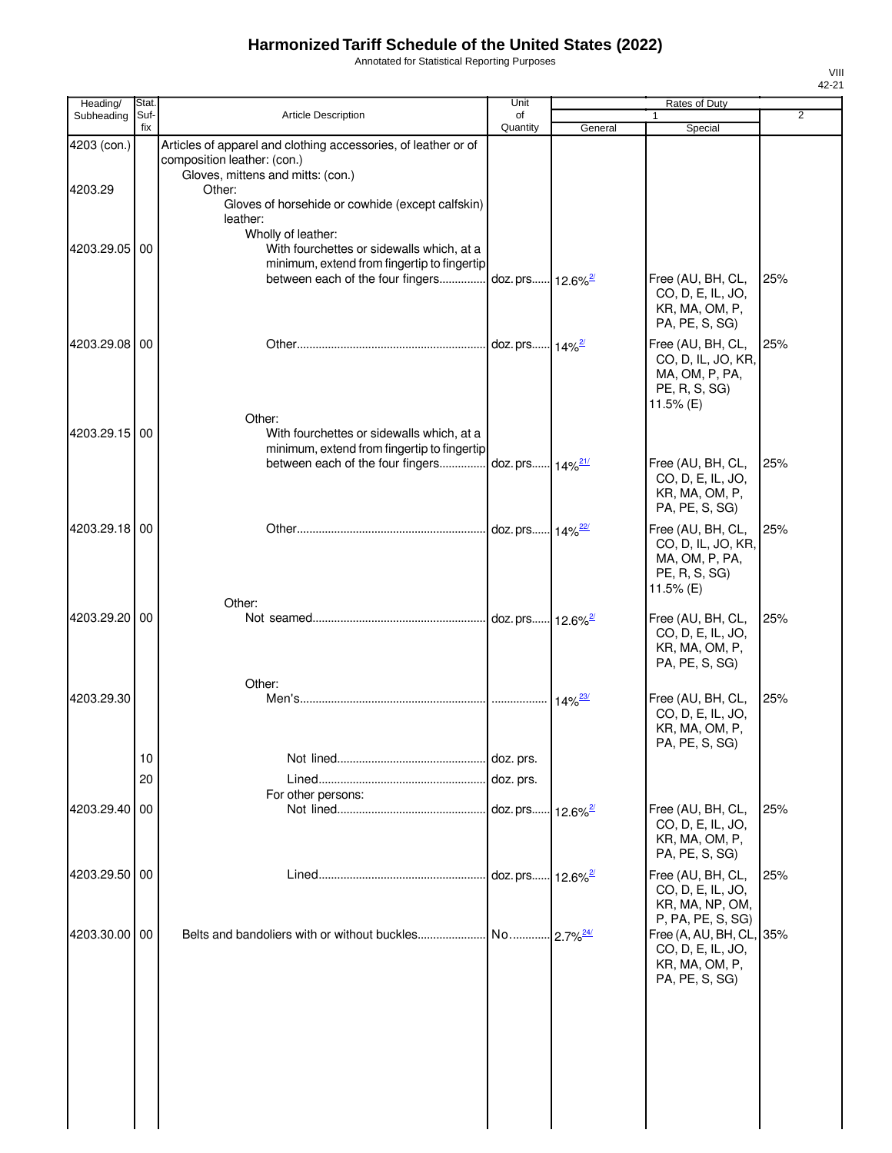Annotated for Statistical Reporting Purposes

| Heading/      | Stat.       |                                                                                                                                                    | Unit                         |                             | Rates of Duty                                                                                      |                |
|---------------|-------------|----------------------------------------------------------------------------------------------------------------------------------------------------|------------------------------|-----------------------------|----------------------------------------------------------------------------------------------------|----------------|
| Subheading    | Suf-<br>fix | <b>Article Description</b>                                                                                                                         | of<br>Quantity               | General                     | 1<br>Special                                                                                       | $\overline{2}$ |
| 4203 (con.)   |             | Articles of apparel and clothing accessories, of leather or of<br>composition leather: (con.)<br>Gloves, mittens and mitts: (con.)                 |                              |                             |                                                                                                    |                |
| 4203.29       |             | Other:<br>Gloves of horsehide or cowhide (except calfskin)<br>leather:                                                                             |                              |                             |                                                                                                    |                |
| 4203.29.05    | 00          | Wholly of leather:<br>With fourchettes or sidewalls which, at a<br>minimum, extend from fingertip to fingertip<br>between each of the four fingers | doz. prs 12.6% <sup>2/</sup> |                             | Free (AU, BH, CL,                                                                                  | 25%            |
|               |             |                                                                                                                                                    |                              |                             | CO, D, E, IL, JO,<br>KR, MA, OM, P,<br>PA, PE, S, SG)                                              |                |
| 4203.29.08 00 |             |                                                                                                                                                    | doz. prs 14% <sup>2/</sup>   |                             | Free (AU, BH, CL,<br>CO, D, IL, JO, KR,<br>MA, OM, P, PA,<br>PE, R, S, SG)<br>11.5% (E)            | 25%            |
| 4203.29.15 00 |             | Other:<br>With fourchettes or sidewalls which, at a<br>minimum, extend from fingertip to fingertip<br>between each of the four fingers             | doz. prs 14% <sup>21/</sup>  |                             | Free (AU, BH, CL,                                                                                  | 25%            |
|               |             |                                                                                                                                                    |                              |                             | CO, D, E, IL, JO,<br>KR, MA, OM, P,<br>PA, PE, S, SG)                                              |                |
| 4203.29.18 00 |             |                                                                                                                                                    | doz. prs 14% <sup>22/</sup>  |                             | Free (AU, BH, CL,<br>CO, D, IL, JO, KR,<br>MA, OM, P, PA,<br>PE, R, S, SG)<br>11.5% (E)            | 25%            |
| 4203.29.20    | 00          | Other:                                                                                                                                             | doz. prs 12.6% <sup>2/</sup> |                             | Free (AU, BH, CL,<br>CO, D, E, IL, JO,<br>KR, MA, OM, P,<br>PA, PE, S, SG)                         | 25%            |
|               |             | Other:                                                                                                                                             |                              |                             |                                                                                                    |                |
| 4203.29.30    |             |                                                                                                                                                    |                              | $14\%$ <sup>23/</sup>       | Free (AU, BH, CL,<br>CO, D, E, IL, JO,<br>KR, MA, OM, P,<br>PA, PE, S, SG)                         | 25%            |
|               | 10          |                                                                                                                                                    | doz. prs.                    |                             |                                                                                                    |                |
|               | 20          | For other persons:                                                                                                                                 | doz. prs.                    |                             |                                                                                                    |                |
| 4203.29.40    | 00          |                                                                                                                                                    | doz. prs                     | $12.6\%$ <sup>2/</sup>      | Free (AU, BH, CL,<br>CO, D, E, IL, JO,<br>KR, MA, OM, P,<br>PA, PE, S, SG)                         | 25%            |
| 4203.29.50    | 00          |                                                                                                                                                    |                              | $\cdot$ 12.6% $\frac{2}{3}$ | Free (AU, BH, CL,<br>CO, D, E, IL, JO,<br>KR, MA, NP, OM,                                          | 25%            |
| 4203.30.00    | 00          |                                                                                                                                                    |                              | $-2.7\%$ <sup>24/</sup>     | P, PA, PE, S, SG)<br>Free (A, AU, BH, CL,<br>CO, D, E, IL, JO,<br>KR, MA, OM, P,<br>PA, PE, S, SG) | 35%            |
|               |             |                                                                                                                                                    |                              |                             |                                                                                                    |                |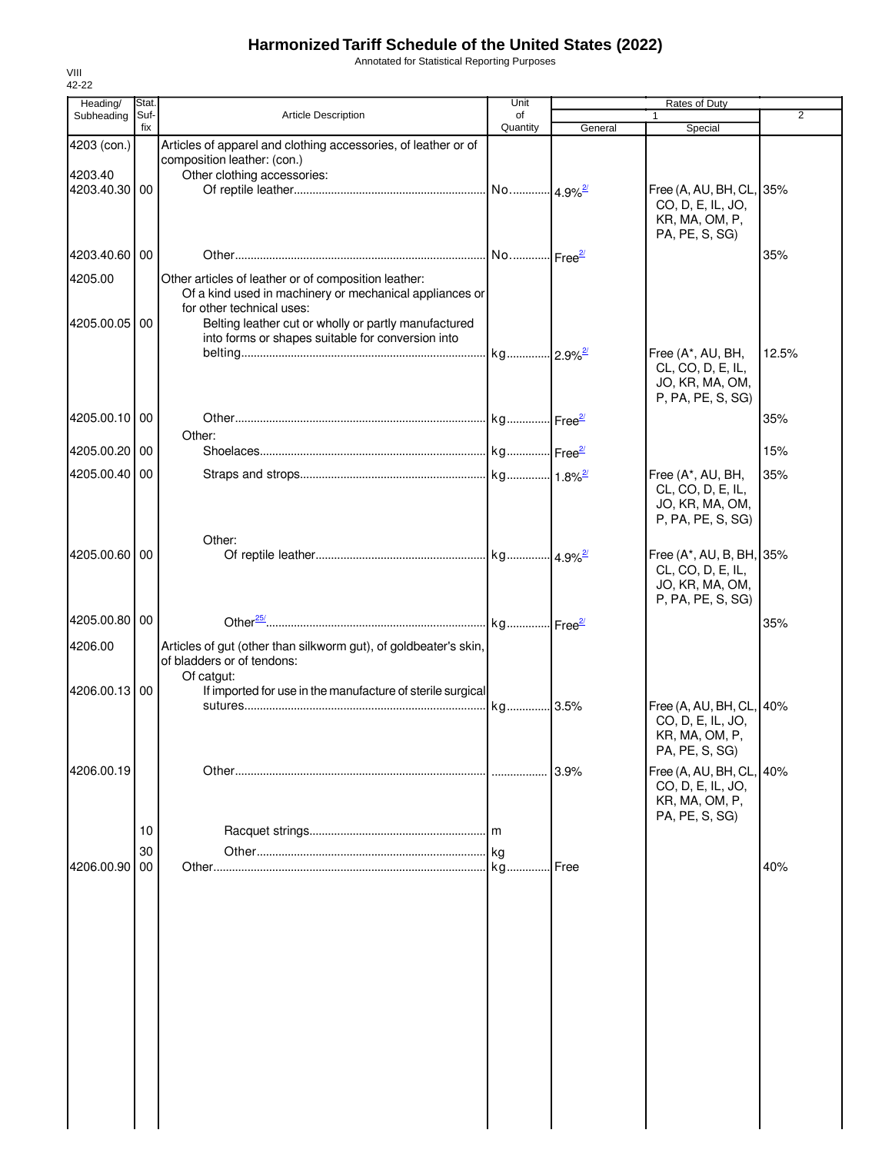Annotated for Statistical Reporting Purposes

| Heading/                 | Stat.       |                                                                                   | Unit           |         | Rates of Duty                        |                |
|--------------------------|-------------|-----------------------------------------------------------------------------------|----------------|---------|--------------------------------------|----------------|
| Subheading               | Suf-<br>fix | Article Description                                                               | of<br>Quantity | General | $\mathbf{1}$<br>Special              | $\overline{2}$ |
| 4203 (con.)              |             | Articles of apparel and clothing accessories, of leather or of                    |                |         |                                      |                |
|                          |             | composition leather: (con.)                                                       |                |         |                                      |                |
| 4203.40<br>4203.40.30 00 |             | Other clothing accessories:                                                       |                |         | Free (A, AU, BH, CL, 35%             |                |
|                          |             |                                                                                   |                |         | CO, D, E, IL, JO,                    |                |
|                          |             |                                                                                   |                |         | KR, MA, OM, P,                       |                |
|                          |             |                                                                                   |                |         | PA, PE, S, SG)                       |                |
| 4203.40.60 00            |             |                                                                                   |                |         |                                      | 35%            |
| 4205.00                  |             | Other articles of leather or of composition leather:                              |                |         |                                      |                |
|                          |             | Of a kind used in machinery or mechanical appliances or                           |                |         |                                      |                |
| 4205.00.05 00            |             | for other technical uses:<br>Belting leather cut or wholly or partly manufactured |                |         |                                      |                |
|                          |             | into forms or shapes suitable for conversion into                                 |                |         |                                      |                |
|                          |             |                                                                                   |                |         | Free (A*, AU, BH,                    | 12.5%          |
|                          |             |                                                                                   |                |         | CL, CO, D, E, IL,<br>JO, KR, MA, OM, |                |
|                          |             |                                                                                   |                |         | P, PA, PE, S, SG)                    |                |
| 4205.00.10 00            |             |                                                                                   |                |         |                                      | 35%            |
|                          |             | Other:                                                                            |                |         |                                      |                |
| 4205.00.20 00            |             |                                                                                   |                |         |                                      | 15%            |
| 4205.00.40 00            |             |                                                                                   |                |         | Free (A*, AU, BH,                    | 35%            |
|                          |             |                                                                                   |                |         | CL, CO, D, E, IL,                    |                |
|                          |             |                                                                                   |                |         | JO, KR, MA, OM,<br>P, PA, PE, S, SG) |                |
|                          |             | Other:                                                                            |                |         |                                      |                |
| 4205.00.60 00            |             |                                                                                   |                |         | Free (A*, AU, B, BH, 35%             |                |
|                          |             |                                                                                   |                |         | CL, CO, D, E, IL,                    |                |
|                          |             |                                                                                   |                |         | JO, KR, MA, OM,                      |                |
|                          |             |                                                                                   |                |         | P, PA, PE, S, SG)                    |                |
| 4205.00.80 00            |             |                                                                                   |                |         |                                      | 35%            |
| 4206.00                  |             | Articles of gut (other than silkworm gut), of goldbeater's skin,                  |                |         |                                      |                |
|                          |             | of bladders or of tendons:<br>Of catgut:                                          |                |         |                                      |                |
| 4206.00.13 00            |             | If imported for use in the manufacture of sterile surgical                        |                |         |                                      |                |
|                          |             |                                                                                   |                |         | Free (A, AU, BH, CL, 40%             |                |
|                          |             |                                                                                   |                |         | CO, D, E, IL, JO,                    |                |
|                          |             |                                                                                   |                |         | KR, MA, OM, P,<br>PA, PE, S, SG)     |                |
| 4206.00.19               |             |                                                                                   |                | 3.9%    | Free (A, AU, BH, CL, 40%             |                |
|                          |             |                                                                                   |                |         | CO, D, E, IL, JO,                    |                |
|                          |             |                                                                                   |                |         | KR, MA, OM, P,                       |                |
|                          | 10          |                                                                                   |                |         | PA, PE, S, SG)                       |                |
|                          | 30          |                                                                                   |                |         |                                      |                |
| 4206.00.90               | 00          |                                                                                   |                | Free    |                                      | 40%            |
|                          |             |                                                                                   |                |         |                                      |                |
|                          |             |                                                                                   |                |         |                                      |                |
|                          |             |                                                                                   |                |         |                                      |                |
|                          |             |                                                                                   |                |         |                                      |                |
|                          |             |                                                                                   |                |         |                                      |                |
|                          |             |                                                                                   |                |         |                                      |                |
|                          |             |                                                                                   |                |         |                                      |                |
|                          |             |                                                                                   |                |         |                                      |                |
|                          |             |                                                                                   |                |         |                                      |                |
|                          |             |                                                                                   |                |         |                                      |                |
|                          |             |                                                                                   |                |         |                                      |                |
|                          |             |                                                                                   |                |         |                                      |                |
|                          |             |                                                                                   |                |         |                                      |                |
|                          |             |                                                                                   |                |         |                                      |                |